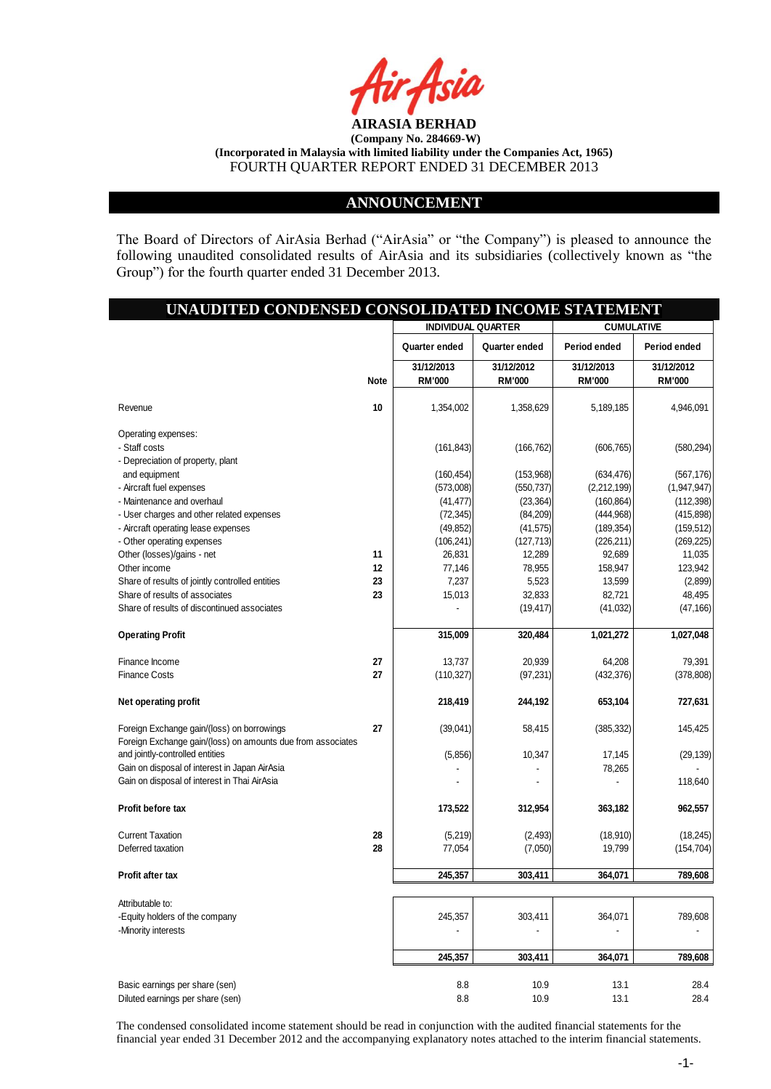

## **ANNOUNCEMENT**

The Board of Directors of AirAsia Berhad ("AirAsia" or "the Company") is pleased to announce the following unaudited consolidated results of AirAsia and its subsidiaries (collectively known as "the Group") for the fourth quarter ended 31 December 2013.

# **UNAUDITED CONDENSED CONSOLIDATED INCOME STATEMENT 31/12/2013 31/12/2012 31/12/2013 31/12/2012 Note RM'000 RM'000 RM'000 RM'000** Revenue **10** 1,354,002 1,358,629 5,189,185 4,946,091 Operating expenses: - Staff costs (161,843) (166,762) (606,765) (580,294) - Depreciation of property, plant and equipment (160,454) (160,454) (163,968) (634,476) (567,176) - Aircraft fuel expenses (573,008) (573,008) (550,737) (2,212,199) (1,947,947) - Maintenance and overhaul (112,398) (112,398) (112,398 - User charges and other related expenses (72,345) (72,345) (84,209) (444,968) (475,898) (475,898 - Aircraft operating lease expenses (199,852) (49,852) (49,852) (41,575) (189,354) (159,512) - Other operating expenses (106,241) (127,713) (226,211) (269,225) Other (losses)/gains - net **11 11** 26,831 **12,289** 92,689 11,035 Other income **12** 77,146 78,955 158,947 123,942 Share of results of jointly controlled entities **23 23 13,523 <b>13,599** (2,899) **13,599** (2,899) Share of results of associates **23 23 15,013** 32,833 82,721 48,495 Share of results of discontinued associates - (19,417) (41,032) (47,166) **Operating Profit 1,027,048** 1,027,048 1,027,048 1,027,048 1,027,048 1,027,048 Finance Income **27** 13,737 20,939 64,208 79,391 Finance Costs **27** (110,327) (97,231) (432,376) (378,808) **Net operating profit 227,631** 218,419 244,192 653,104 727,631 Foreign Exchange gain/(loss) on borrowings **27** (39,041) 58,415 (385,332) 145,425 Foreign Exchange gain/(loss) on amounts due from associates and jointly-controlled entities (5,856) 10,347 17,145 (29,139) Gain on disposal of interest in Japan AirAsia - 1999 - 1999 - 1999 - 1999 - 1999 - 1999 - 78,265 - 78,265 - 78,265 Gain on disposal of interest in Thai AirAsia - - - - - 118,640 - - - - 118,640 - - 118,640 - 118,640 **Profit before tax 173,522 312,954 363,182 962,557** Current Taxation **28** (5,219) (2,493) (18,910) (18,245) Deferred taxation **28** 77,054 (7,050) 19,799 (154,704) **Profit after tax 245,357 303,411 364,071 789,608** Attributable to: -Equity holders of the company 245,357 303,411 364,071 364,071 789,608 -Minority interests and the set of the set of the set of the set of the set of the set of the set of the set of the set of the set of the set of the set of the set of the set of the set of the set of the set of the set of **INDIVIDUAL QUARTER CUMULATIVE Quarter ended Quarter ended Period ended Period ended**

|                                  | 245.357 | 303.411 | 364.071 | 789.608 |
|----------------------------------|---------|---------|---------|---------|
| Basic earnings per share (sen)   | 8.8     | 10.9    | 13.1    | 28.4    |
| Diluted earnings per share (sen) | 8.8     | 10.9    | 13.1    | 28.4    |

The condensed consolidated income statement should be read in conjunction with the audited financial statements for the financial year ended 31 December 2012 and the accompanying explanatory notes attached to the interim financial statements.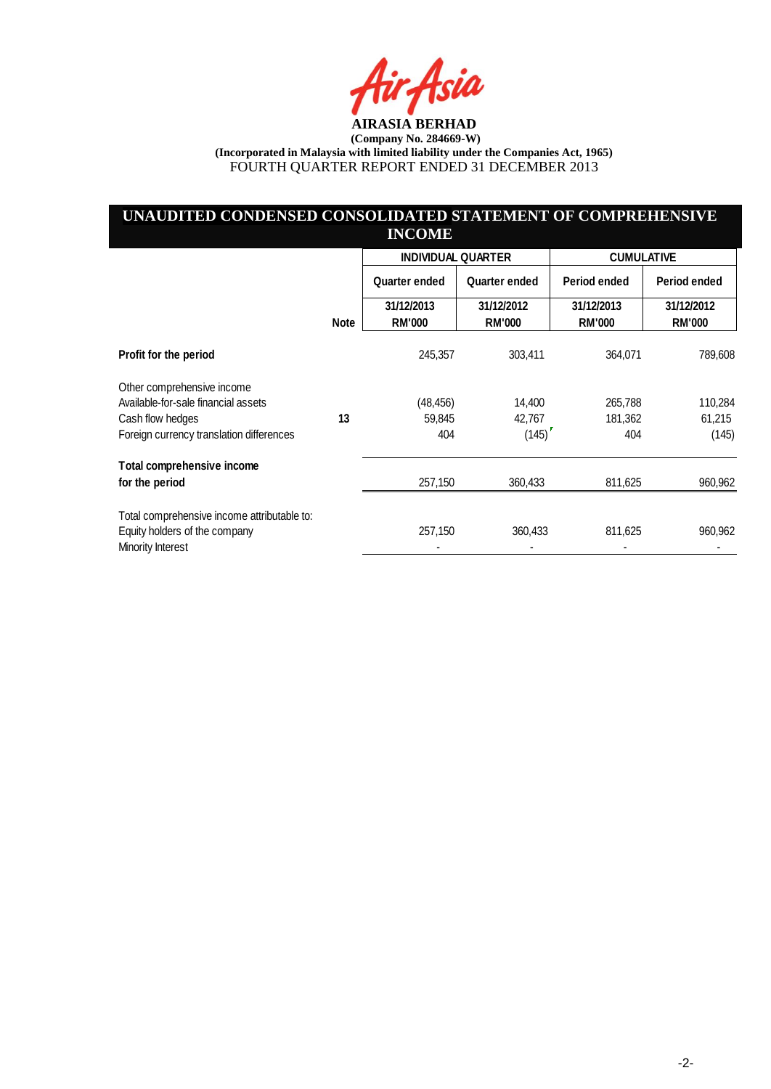ia

# **UNAUDITED CONDENSED CONSOLIDATED STATEMENT OF COMPREHENSIVE INCOME**

|                                                    |             | <b>INDIVIDUAL QUARTER</b>   |                             |                             | <b>CUMULATIVE</b>           |  |
|----------------------------------------------------|-------------|-----------------------------|-----------------------------|-----------------------------|-----------------------------|--|
|                                                    |             | Quarter ended               | <b>Quarter ended</b>        | Period ended                | Period ended                |  |
|                                                    | <b>Note</b> | 31/12/2013<br><b>RM'000</b> | 31/12/2012<br><b>RM'000</b> | 31/12/2013<br><b>RM'000</b> | 31/12/2012<br><b>RM'000</b> |  |
| Profit for the period                              |             | 245,357                     | 303,411                     | 364,071                     | 789,608                     |  |
| Other comprehensive income                         |             |                             |                             |                             |                             |  |
| Available-for-sale financial assets                |             | (48, 456)                   | 14,400                      | 265,788                     | 110,284                     |  |
| Cash flow hedges                                   | 13          | 59,845                      | 42,767                      | 181,362                     | 61,215                      |  |
| Foreign currency translation differences           |             | 404                         | (145)                       | 404                         | (145)                       |  |
| Total comprehensive income                         |             |                             |                             |                             |                             |  |
| for the period                                     |             | 257,150                     | 360,433                     | 811,625                     | 960,962                     |  |
| Total comprehensive income attributable to:        |             |                             |                             |                             |                             |  |
| Equity holders of the company<br>Minority Interest |             | 257,150                     | 360,433                     | 811,625                     | 960,962                     |  |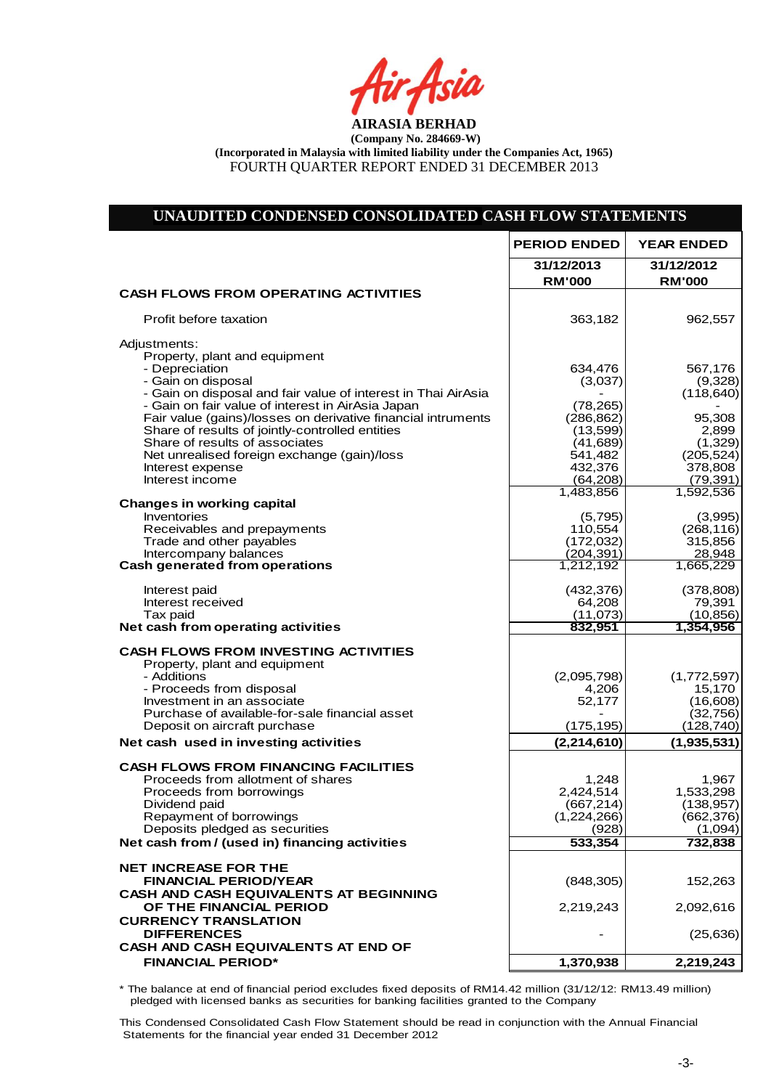fir<sub>t</sub>Asia

# **UNAUDITED CONDENSED CONSOLIDATED CASH FLOW STATEMENTS**

|                                                                                                                                                                                                                                                                                                                                                                                                                                                        | <b>PERIOD ENDED</b>                                                                                                   | <b>YEAR ENDED</b>                                                                                                 |
|--------------------------------------------------------------------------------------------------------------------------------------------------------------------------------------------------------------------------------------------------------------------------------------------------------------------------------------------------------------------------------------------------------------------------------------------------------|-----------------------------------------------------------------------------------------------------------------------|-------------------------------------------------------------------------------------------------------------------|
|                                                                                                                                                                                                                                                                                                                                                                                                                                                        | 31/12/2013<br><b>RM'000</b>                                                                                           | 31/12/2012<br><b>RM'000</b>                                                                                       |
| <b>CASH FLOWS FROM OPERATING ACTIVITIES</b>                                                                                                                                                                                                                                                                                                                                                                                                            |                                                                                                                       |                                                                                                                   |
| Profit before taxation                                                                                                                                                                                                                                                                                                                                                                                                                                 | 363,182                                                                                                               | 962,557                                                                                                           |
| Adjustments:<br>Property, plant and equipment<br>- Depreciation<br>- Gain on disposal<br>- Gain on disposal and fair value of interest in Thai AirAsia<br>- Gain on fair value of interest in AirAsia Japan<br>Fair value (gains)/losses on derivative financial intruments<br>Share of results of jointly-controlled entities<br>Share of results of associates<br>Net unrealised foreign exchange (gain)/loss<br>Interest expense<br>Interest income | 634,476<br>(3,037)<br>(78, 265)<br>(286, 862)<br>(13,599)<br>(41,689)<br>541,482<br>432,376<br>(64, 208)<br>1,483,856 | 567,176<br>(9,328)<br>(118, 640)<br>95,308<br>2,899<br>(1,329)<br>(205, 524)<br>378,808<br>(79, 391)<br>1,592,536 |
| <b>Changes in working capital</b><br>Inventories<br>Receivables and prepayments<br>Trade and other payables<br>Intercompany balances<br><b>Cash generated from operations</b>                                                                                                                                                                                                                                                                          | (5,795)<br>110,554<br>(172, 032)<br>(204, 391)<br>1,212,192                                                           | (3,995)<br>(268, 116)<br>315,856<br>28,948<br>1,665,229                                                           |
| Interest paid<br>Interest received<br>Tax paid<br>Net cash from operating activities                                                                                                                                                                                                                                                                                                                                                                   | (432, 376)<br>64,208<br>(11,073)<br>832,951                                                                           | (378, 808)<br>79,391<br>(10, 856)<br>1,354,956                                                                    |
| <b>CASH FLOWS FROM INVESTING ACTIVITIES</b><br>Property, plant and equipment<br>- Additions<br>- Proceeds from disposal<br>Investment in an associate<br>Purchase of available-for-sale financial asset<br>Deposit on aircraft purchase                                                                                                                                                                                                                | (2,095,798)<br>4,206<br>52,177<br>(175, 195)                                                                          | (1,772,597)<br>15,170<br>(16,608)<br>(32, 756)<br>(128, 740)                                                      |
| Net cash used in investing activities                                                                                                                                                                                                                                                                                                                                                                                                                  | (2, 214, 610)                                                                                                         | (1,935,531)                                                                                                       |
| <b>CASH FLOWS FROM FINANCING FACILITIES</b><br>Proceeds from allotment of shares<br>Proceeds from borrowings<br>Dividend paid<br>Repayment of borrowings<br>Deposits pledged as securities<br>Net cash from / (used in) financing activities                                                                                                                                                                                                           | 1,248<br>2,424,514<br>(667, 214)<br>(1,224,266)<br>(928)<br>533,354                                                   | 1,967<br>1,533,298<br>(138, 957)<br>(662, 376)<br>(1,094)<br>732,838                                              |
| <b>NET INCREASE FOR THE</b><br><b>FINANCIAL PERIOD/YEAR</b><br><b>CASH AND CASH EQUIVALENTS AT BEGINNING</b><br>OF THE FINANCIAL PERIOD<br><b>CURRENCY TRANSLATION</b><br><b>DIFFERENCES</b><br><b>CASH AND CASH EQUIVALENTS AT END OF</b><br><b>FINANCIAL PERIOD*</b>                                                                                                                                                                                 | (848, 305)<br>2,219,243<br>1,370,938                                                                                  | 152,263<br>2,092,616<br>(25, 636)<br>2,219,243                                                                    |
|                                                                                                                                                                                                                                                                                                                                                                                                                                                        |                                                                                                                       |                                                                                                                   |

\* The balance at end of financial period excludes fixed deposits of RM14.42 million (31/12/12: RM13.49 million) pledged with licensed banks as securities for banking facilities granted to the Company

This Condensed Consolidated Cash Flow Statement should be read in conjunction with the Annual Financial Statements for the financial year ended 31 December 2012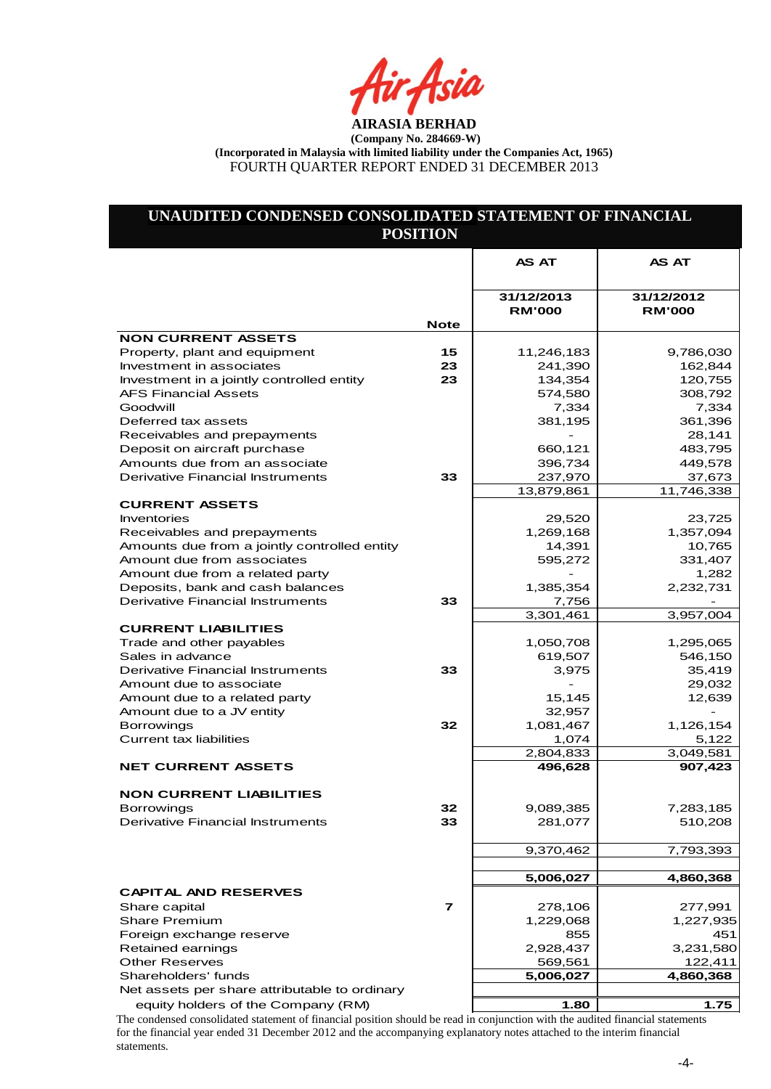ir Asia

# **UNAUDITED CONDENSED CONSOLIDATED STATEMENT OF FINANCIAL POSITION**

|                                                                          |                         | <b>AS AT</b>                | <b>AS AT</b>                |
|--------------------------------------------------------------------------|-------------------------|-----------------------------|-----------------------------|
|                                                                          |                         |                             |                             |
|                                                                          |                         | 31/12/2013<br><b>RM'000</b> | 31/12/2012<br><b>RM'000</b> |
|                                                                          | <b>Note</b>             |                             |                             |
| <b>NON CURRENT ASSETS</b>                                                |                         |                             |                             |
| Property, plant and equipment                                            | 15                      | 11,246,183                  | 9,786,030                   |
| Investment in associates                                                 | 23                      | 241,390                     | 162,844                     |
| Investment in a jointly controlled entity<br><b>AFS Financial Assets</b> | 23                      | 134,354<br>574,580          | 120,755<br>308,792          |
| Goodwill                                                                 |                         | 7,334                       | 7,334                       |
| Deferred tax assets                                                      |                         | 381,195                     | 361,396                     |
| Receivables and prepayments                                              |                         |                             | 28,141                      |
| Deposit on aircraft purchase                                             |                         | 660,121                     | 483,795                     |
| Amounts due from an associate                                            |                         | 396,734                     | 449,578                     |
| <b>Derivative Financial Instruments</b>                                  | 33                      | 237,970                     | 37,673                      |
|                                                                          |                         | 13,879,861                  | 11,746,338                  |
| <b>CURRENT ASSETS</b>                                                    |                         |                             |                             |
| <b>Inventories</b>                                                       |                         | 29,520                      | 23,725                      |
| Receivables and prepayments                                              |                         | 1,269,168                   | 1,357,094                   |
| Amounts due from a jointly controlled entity                             |                         | 14,391                      | 10,765                      |
| Amount due from associates                                               |                         | 595,272                     | 331,407                     |
| Amount due from a related party                                          |                         |                             | 1,282                       |
| Deposits, bank and cash balances                                         |                         | 1,385,354                   | 2,232,731                   |
| <b>Derivative Financial Instruments</b>                                  | 33                      | 7,756                       |                             |
|                                                                          |                         | 3,301,461                   | 3,957,004                   |
| <b>CURRENT LIABILITIES</b>                                               |                         |                             |                             |
| Trade and other payables                                                 |                         | 1,050,708                   | 1,295,065                   |
| Sales in advance                                                         |                         | 619,507                     | 546,150                     |
| <b>Derivative Financial Instruments</b>                                  | 33                      | 3,975                       | 35,419                      |
| Amount due to associate                                                  |                         |                             | 29,032                      |
| Amount due to a related party                                            |                         | 15,145                      | 12,639                      |
| Amount due to a JV entity                                                | 32                      | 32,957                      |                             |
| <b>Borrowings</b><br><b>Current tax liabilities</b>                      |                         | 1,081,467                   | 1,126,154                   |
|                                                                          |                         | 1,074<br>2,804,833          | 5,122<br>3,049,581          |
| <b>NET CURRENT ASSETS</b>                                                |                         | 496,628                     | 907,423                     |
|                                                                          |                         |                             |                             |
| <b>NON CURRENT LIABILITIES</b>                                           |                         |                             |                             |
| <b>Borrowings</b>                                                        | 32                      | 9,089,385                   | 7,283,185                   |
| Derivative Financial Instruments                                         | 33                      | 281,077                     | 510,208                     |
|                                                                          |                         |                             |                             |
|                                                                          |                         | 9,370,462                   | 7,793,393                   |
|                                                                          |                         |                             |                             |
|                                                                          |                         | 5,006,027                   | 4,860,368                   |
| <b>CAPITAL AND RESERVES</b>                                              |                         |                             |                             |
| Share capital                                                            | $\overline{\mathbf{r}}$ | 278,106                     | 277,991                     |
| <b>Share Premium</b>                                                     |                         | 1,229,068                   | 1,227,935                   |
| Foreign exchange reserve                                                 |                         | 855                         | 451                         |
| Retained earnings                                                        |                         | 2,928,437                   | 3,231,580                   |
| <b>Other Reserves</b>                                                    |                         | 569,561                     | 122,411                     |
| Shareholders' funds                                                      |                         | 5,006,027                   | 4,860,368                   |
| Net assets per share attributable to ordinary                            |                         |                             |                             |
| equity holders of the Company (RM)                                       |                         | 1.80                        | 1.75                        |

The condensed consolidated statement of financial position should be read in conjunction with the audited financial statements for the financial year ended 31 December 2012 and the accompanying explanatory notes attached to the interim financial statements.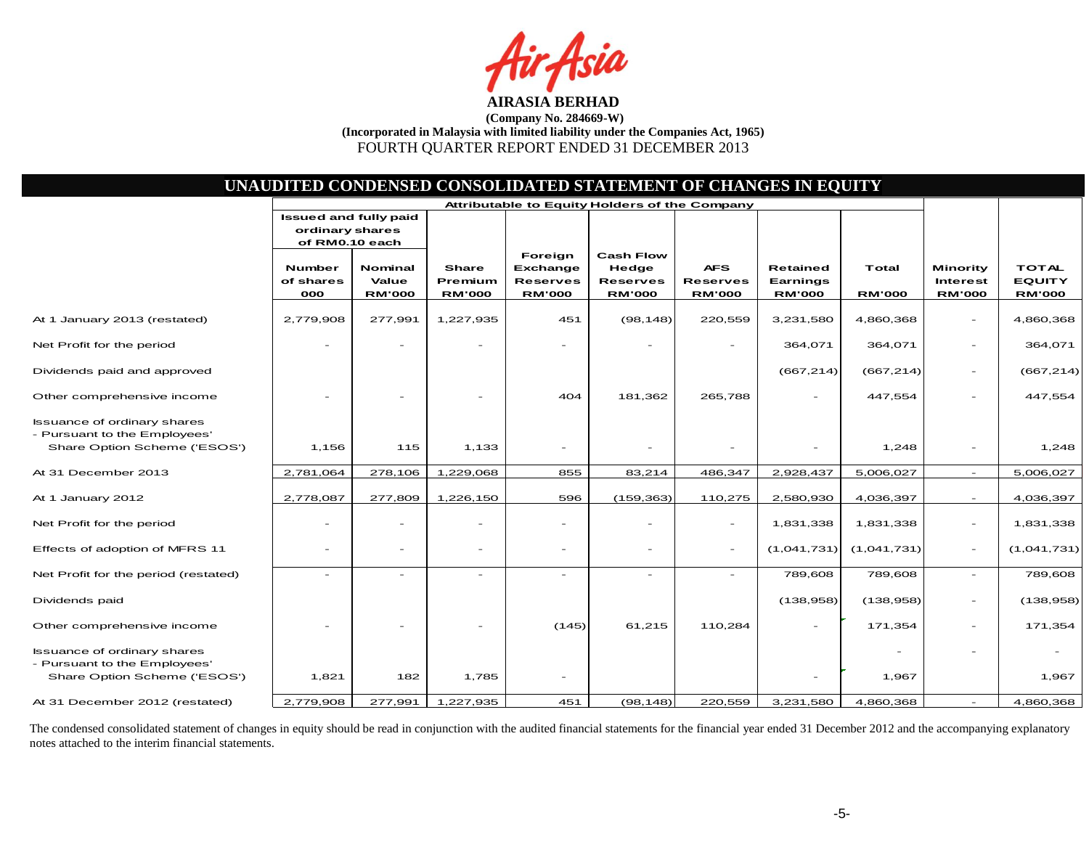Asia

|                                                                                                    |                                   |                                          |                                          |                                                                | UNAUDITED CONDENSED CONSOLIDATED STATEMENT OF CHANGES IN EQUITY |                                                |                                              |                        |                                              |                                                |
|----------------------------------------------------------------------------------------------------|-----------------------------------|------------------------------------------|------------------------------------------|----------------------------------------------------------------|-----------------------------------------------------------------|------------------------------------------------|----------------------------------------------|------------------------|----------------------------------------------|------------------------------------------------|
|                                                                                                    | <b>Issued and fully paid</b>      |                                          |                                          |                                                                | Attributable to Equity Holders of the Company                   |                                                |                                              |                        |                                              |                                                |
|                                                                                                    | ordinary shares<br>of RM0.10 each |                                          |                                          |                                                                |                                                                 |                                                |                                              |                        |                                              |                                                |
|                                                                                                    | Number<br>of shares<br>000        | <b>Nominal</b><br>Value<br><b>RM'000</b> | <b>Share</b><br>Premium<br><b>RM'000</b> | Foreign<br><b>Exchange</b><br><b>Reserves</b><br><b>RM'000</b> | <b>Cash Flow</b><br>Hedge<br><b>Reserves</b><br><b>RM'000</b>   | <b>AFS</b><br><b>Reserves</b><br><b>RM'000</b> | <b>Retained</b><br>Earnings<br><b>RM'000</b> | Total<br><b>RM'000</b> | Minority<br><b>Interest</b><br><b>RM'000</b> | <b>TOTAL</b><br><b>EQUITY</b><br><b>RM'000</b> |
| At 1 January 2013 (restated)                                                                       | 2,779,908                         | 277,991                                  | 1,227,935                                | 451                                                            | (98, 148)                                                       | 220,559                                        | 3,231,580                                    | 4,860,368              |                                              | 4,860,368                                      |
| Net Profit for the period                                                                          |                                   |                                          |                                          |                                                                |                                                                 |                                                | 364,071                                      | 364,071                | $\overline{\phantom{a}}$                     | 364,071                                        |
| Dividends paid and approved                                                                        |                                   |                                          |                                          |                                                                |                                                                 |                                                | (667, 214)                                   | (667, 214)             | $\sim$                                       | (667, 214)                                     |
| Other comprehensive income                                                                         |                                   |                                          |                                          | 404                                                            | 181,362                                                         | 265,788                                        | -                                            | 447,554                | $\overline{\phantom{a}}$                     | 447,554                                        |
| <b>Issuance of ordinary shares</b><br>- Pursuant to the Employees'<br>Share Option Scheme ('ESOS') | 1,156                             | 115                                      | 1,133                                    | $\overline{\phantom{a}}$                                       |                                                                 |                                                |                                              | 1,248                  |                                              | 1,248                                          |
| At 31 December 2013                                                                                | 2,781,064                         | 278,106                                  | 1,229,068                                | 855                                                            | 83,214                                                          | 486,347                                        | 2,928,437                                    | 5,006,027              | $\sim$                                       | 5,006,027                                      |
| At 1 January 2012                                                                                  | 2,778,087                         | 277,809                                  | 1,226,150                                | 596                                                            | (159, 363)                                                      | 110,275                                        | 2,580,930                                    | 4,036,397              | $\sim$                                       | 4,036,397                                      |
| Net Profit for the period                                                                          |                                   | $\overline{\phantom{0}}$                 |                                          | $\overline{\phantom{0}}$                                       | $\overline{\phantom{0}}$                                        | $\equiv$                                       | 1,831,338                                    | 1,831,338              | $\sim$                                       | 1,831,338                                      |
| Effects of adoption of MFRS 11                                                                     | $\sim$                            | $\overline{\phantom{0}}$                 | $\overline{\phantom{a}}$                 | $\overline{\phantom{a}}$                                       | $\qquad \qquad -$                                               | $\sim$                                         | (1,041,731)                                  | (1,041,731)            | $\overline{\phantom{a}}$                     | (1,041,731)                                    |
| Net Profit for the period (restated)                                                               |                                   | L,                                       | $\overline{\phantom{a}}$                 | $\overline{\phantom{a}}$                                       |                                                                 |                                                | 789,608                                      | 789,608                | $\sim$                                       | 789,608                                        |
| Dividends paid                                                                                     |                                   |                                          |                                          |                                                                |                                                                 |                                                | (138, 958)                                   | (138, 958)             | $\equiv$                                     | (138, 958)                                     |
| Other comprehensive income                                                                         |                                   |                                          |                                          | (145)                                                          | 61,215                                                          | 110,284                                        |                                              | 171,354                | $\overline{\phantom{a}}$                     | 171,354                                        |
| <b>Issuance of ordinary shares</b><br>- Pursuant to the Employees'<br>Share Option Scheme ('ESOS') | 1,821                             | 182                                      | 1,785                                    | $\overline{\phantom{a}}$                                       |                                                                 |                                                |                                              | 1,967                  |                                              | 1,967                                          |
| At 31 December 2012 (restated)                                                                     | 2,779,908                         | 277,991                                  | 1,227,935                                | 451                                                            | (98, 148)                                                       | 220,559                                        | 3,231,580                                    | 4,860,368              | $\equiv$                                     | 4,860,368                                      |

The condensed consolidated statement of changes in equity should be read in conjunction with the audited financial statements for the financial year ended 31 December 2012 and the accompanying explanatory notes attached to the interim financial statements.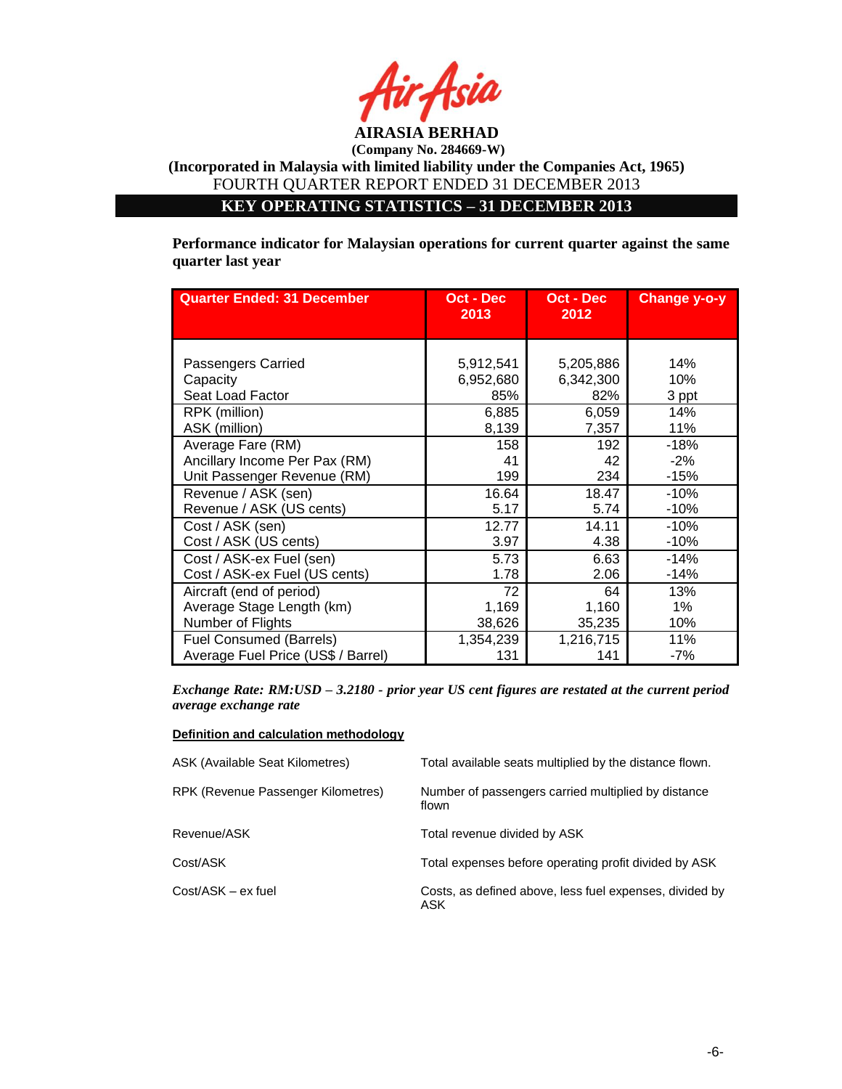

**KEY OPERATING STATISTICS – 31 DECEMBER 2013**

**Performance indicator for Malaysian operations for current quarter against the same quarter last year**

| <b>Quarter Ended: 31 December</b>  | Oct - Dec<br>2013 | Oct - Dec<br>2012 | <b>Change y-o-y</b> |
|------------------------------------|-------------------|-------------------|---------------------|
| Passengers Carried                 | 5,912,541         | 5,205,886         | 14%                 |
| Capacity                           | 6,952,680         | 6,342,300         | 10%                 |
| Seat Load Factor                   | 85%               | 82%               | 3 ppt               |
| RPK (million)                      | 6,885             | 6,059             | 14%                 |
| ASK (million)                      | 8,139             | 7,357             | 11%                 |
| Average Fare (RM)                  | 158               | 192               | $-18%$              |
| Ancillary Income Per Pax (RM)      | 41                | 42                | $-2\%$              |
| Unit Passenger Revenue (RM)        | 199               | 234               | $-15%$              |
| Revenue / ASK (sen)                | 16.64             | 18.47             | $-10%$              |
| Revenue / ASK (US cents)           | 5.17              | 5.74              | $-10%$              |
| Cost / ASK (sen)                   | 12.77             | 14.11             | $-10%$              |
| Cost / ASK (US cents)              | 3.97              | 4.38              | $-10%$              |
| Cost / ASK-ex Fuel (sen)           | 5.73              | 6.63              | $-14%$              |
| Cost / ASK-ex Fuel (US cents)      | 1.78              | 2.06              | $-14%$              |
| Aircraft (end of period)           | 72                | 64                | 13%                 |
| Average Stage Length (km)          | 1,169             | 1,160             | 1%                  |
| Number of Flights                  | 38,626            | 35,235            | 10%                 |
| <b>Fuel Consumed (Barrels)</b>     | 1,354,239         | 1,216,715         | 11%                 |
| Average Fuel Price (US\$ / Barrel) | 131               | 141               | -7%                 |

*Exchange Rate: RM:USD – 3.2180 - prior year US cent figures are restated at the current period average exchange rate*

#### **Definition and calculation methodology**

| <b>ASK (Available Seat Kilometres)</b> | Total available seats multiplied by the distance flown.        |
|----------------------------------------|----------------------------------------------------------------|
| RPK (Revenue Passenger Kilometres)     | Number of passengers carried multiplied by distance<br>flown   |
| Revenue/ASK                            | Total revenue divided by ASK                                   |
| Cost/ASK                               | Total expenses before operating profit divided by ASK          |
| Cost/ASK - ex fuel                     | Costs, as defined above, less fuel expenses, divided by<br>ASK |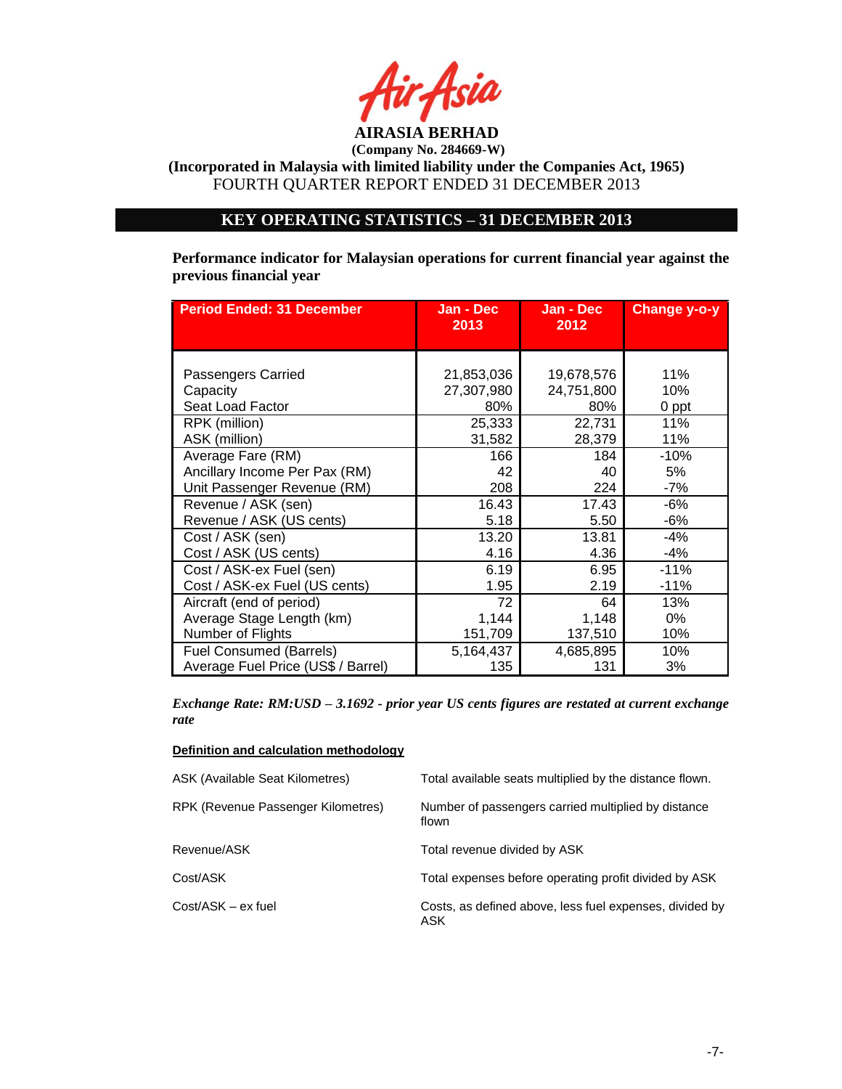

**(Incorporated in Malaysia with limited liability under the Companies Act, 1965)** FOURTH QUARTER REPORT ENDED 31 DECEMBER 2013

# **KEY OPERATING STATISTICS – 31 DECEMBER 2013**

**Performance indicator for Malaysian operations for current financial year against the previous financial year** 

| <b>Period Ended: 31 December</b>   | Jan - Dec<br>2013 | Jan - Dec<br>2012 | <b>Change y-o-y</b> |
|------------------------------------|-------------------|-------------------|---------------------|
|                                    |                   |                   |                     |
| Passengers Carried                 | 21,853,036        | 19,678,576        | 11%                 |
| Capacity                           | 27,307,980        | 24,751,800        | 10%                 |
| Seat Load Factor                   | 80%               | 80%               | 0 ppt               |
| RPK (million)                      | 25,333            | 22,731            | 11%                 |
| ASK (million)                      | 31,582            | 28,379            | 11%                 |
| Average Fare (RM)                  | 166               | 184               | $-10%$              |
| Ancillary Income Per Pax (RM)      | 42                | 40                | 5%                  |
| Unit Passenger Revenue (RM)        | 208               | 224               | $-7%$               |
| Revenue / ASK (sen)                | 16.43             | 17.43             | $-6%$               |
| Revenue / ASK (US cents)           | 5.18              | 5.50              | -6%                 |
| Cost / ASK (sen)                   | 13.20             | 13.81             | $-4%$               |
| Cost / ASK (US cents)              | 4.16              | 4.36              | $-4%$               |
| Cost / ASK-ex Fuel (sen)           | 6.19              | 6.95              | $-11%$              |
| Cost / ASK-ex Fuel (US cents)      | 1.95              | 2.19              | $-11%$              |
| Aircraft (end of period)           | 72                | 64                | 13%                 |
| Average Stage Length (km)          | 1,144             | 1,148             | $0\%$               |
| Number of Flights                  | 151,709           | 137,510           | 10%                 |
| <b>Fuel Consumed (Barrels)</b>     | 5,164,437         | 4,685,895         | 10%                 |
| Average Fuel Price (US\$ / Barrel) | 135               | 131               | 3%                  |

*Exchange Rate: RM:USD – 3.1692 - prior year US cents figures are restated at current exchange rate*

## **Definition and calculation methodology**

| ASK (Available Seat Kilometres)    | Total available seats multiplied by the distance flown.        |
|------------------------------------|----------------------------------------------------------------|
| RPK (Revenue Passenger Kilometres) | Number of passengers carried multiplied by distance<br>flown   |
| Revenue/ASK                        | Total revenue divided by ASK                                   |
| Cost/ASK                           | Total expenses before operating profit divided by ASK          |
| Cost/ASK – ex fuel                 | Costs, as defined above, less fuel expenses, divided by<br>ASK |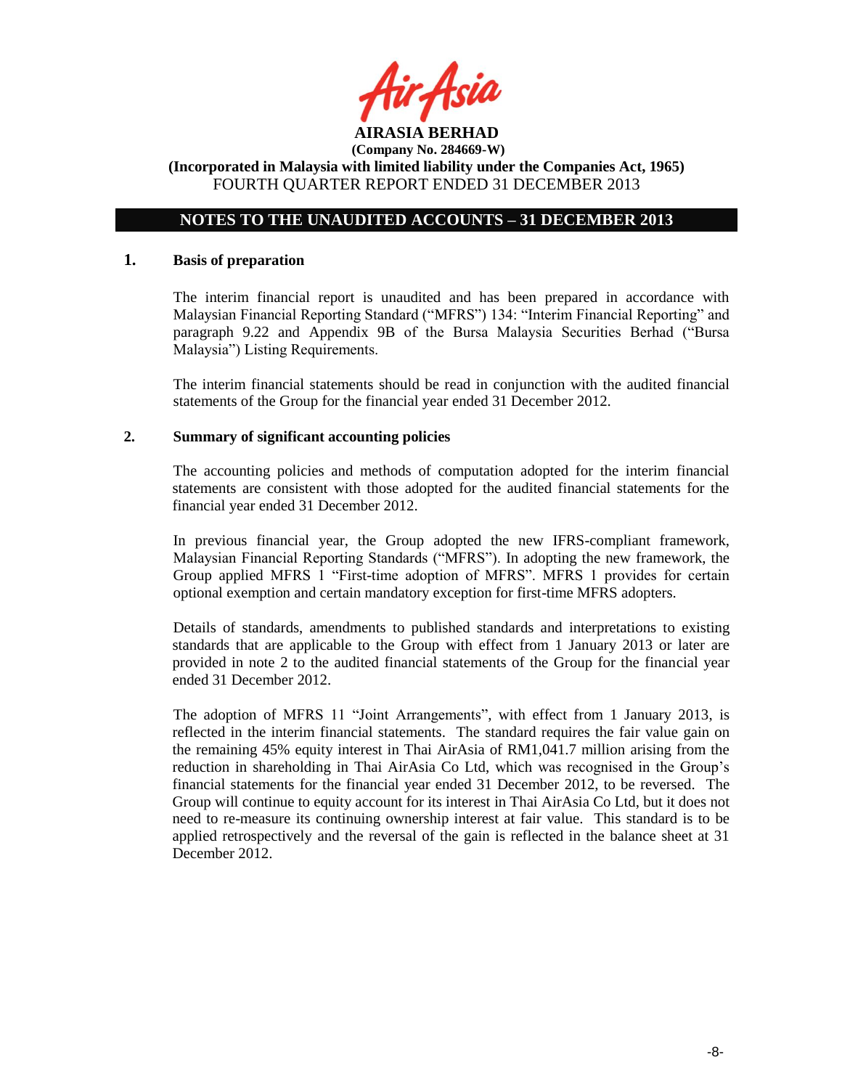

# **NOTES TO THE UNAUDITED ACCOUNTS – 31 DECEMBER 2013**

## **1. Basis of preparation**

The interim financial report is unaudited and has been prepared in accordance with Malaysian Financial Reporting Standard ("MFRS") 134: "Interim Financial Reporting" and paragraph 9.22 and Appendix 9B of the Bursa Malaysia Securities Berhad ("Bursa Malaysia") Listing Requirements.

The interim financial statements should be read in conjunction with the audited financial statements of the Group for the financial year ended 31 December 2012.

## **2. Summary of significant accounting policies**

The accounting policies and methods of computation adopted for the interim financial statements are consistent with those adopted for the audited financial statements for the financial year ended 31 December 2012.

In previous financial year, the Group adopted the new IFRS-compliant framework, Malaysian Financial Reporting Standards ("MFRS"). In adopting the new framework, the Group applied MFRS 1 "First-time adoption of MFRS". MFRS 1 provides for certain optional exemption and certain mandatory exception for first-time MFRS adopters.

Details of standards, amendments to published standards and interpretations to existing standards that are applicable to the Group with effect from 1 January 2013 or later are provided in note 2 to the audited financial statements of the Group for the financial year ended 31 December 2012.

The adoption of MFRS 11 "Joint Arrangements", with effect from 1 January 2013, is reflected in the interim financial statements. The standard requires the fair value gain on the remaining 45% equity interest in Thai AirAsia of RM1,041.7 million arising from the reduction in shareholding in Thai AirAsia Co Ltd, which was recognised in the Group's financial statements for the financial year ended 31 December 2012, to be reversed. The Group will continue to equity account for its interest in Thai AirAsia Co Ltd, but it does not need to re-measure its continuing ownership interest at fair value. This standard is to be applied retrospectively and the reversal of the gain is reflected in the balance sheet at 31 December 2012.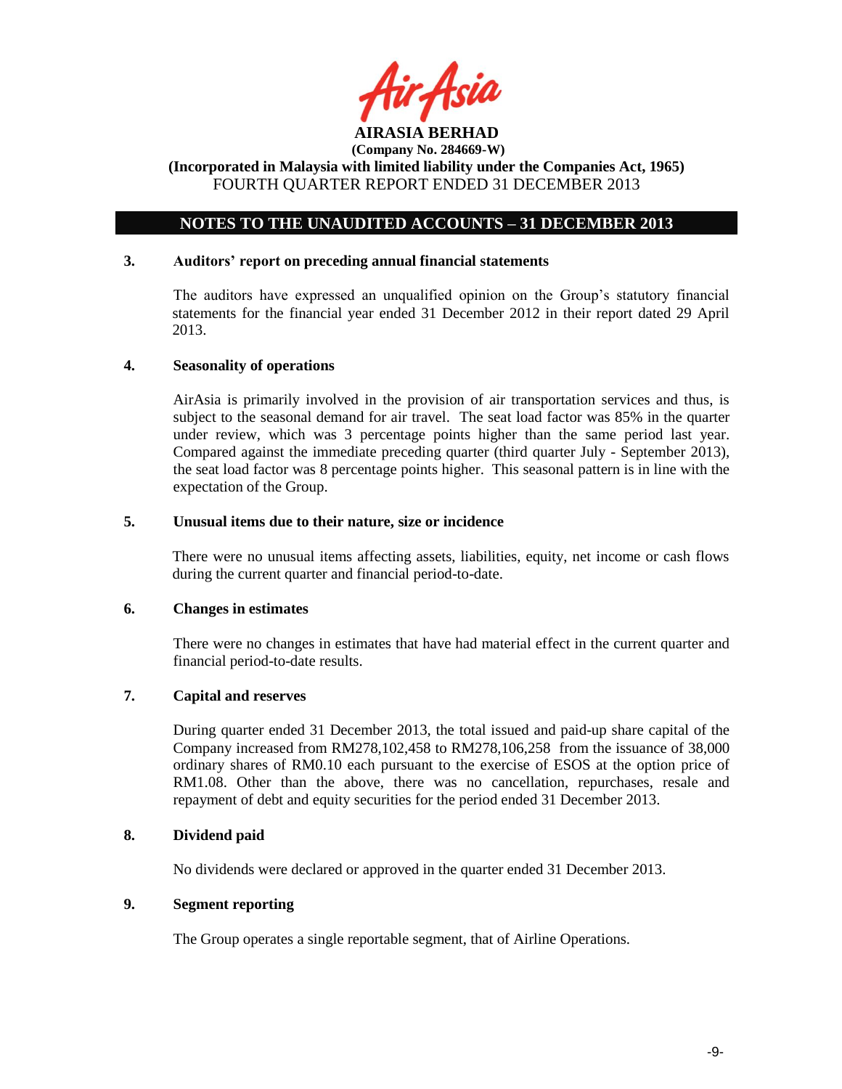

# **NOTES TO THE UNAUDITED ACCOUNTS – 31 DECEMBER 2013**

## **3. Auditors' report on preceding annual financial statements**

The auditors have expressed an unqualified opinion on the Group's statutory financial statements for the financial year ended 31 December 2012 in their report dated 29 April 2013.

## **4. Seasonality of operations**

AirAsia is primarily involved in the provision of air transportation services and thus, is subject to the seasonal demand for air travel. The seat load factor was 85% in the quarter under review, which was 3 percentage points higher than the same period last year. Compared against the immediate preceding quarter (third quarter July - September 2013), the seat load factor was 8 percentage points higher. This seasonal pattern is in line with the expectation of the Group.

# **5. Unusual items due to their nature, size or incidence**

There were no unusual items affecting assets, liabilities, equity, net income or cash flows during the current quarter and financial period-to-date.

#### **6. Changes in estimates**

There were no changes in estimates that have had material effect in the current quarter and financial period-to-date results.

# **7. Capital and reserves**

During quarter ended 31 December 2013, the total issued and paid-up share capital of the Company increased from RM278,102,458 to RM278,106,258 from the issuance of 38,000 ordinary shares of RM0.10 each pursuant to the exercise of ESOS at the option price of RM1.08. Other than the above, there was no cancellation, repurchases, resale and repayment of debt and equity securities for the period ended 31 December 2013.

## **8. Dividend paid**

No dividends were declared or approved in the quarter ended 31 December 2013.

## **9. Segment reporting**

The Group operates a single reportable segment, that of Airline Operations.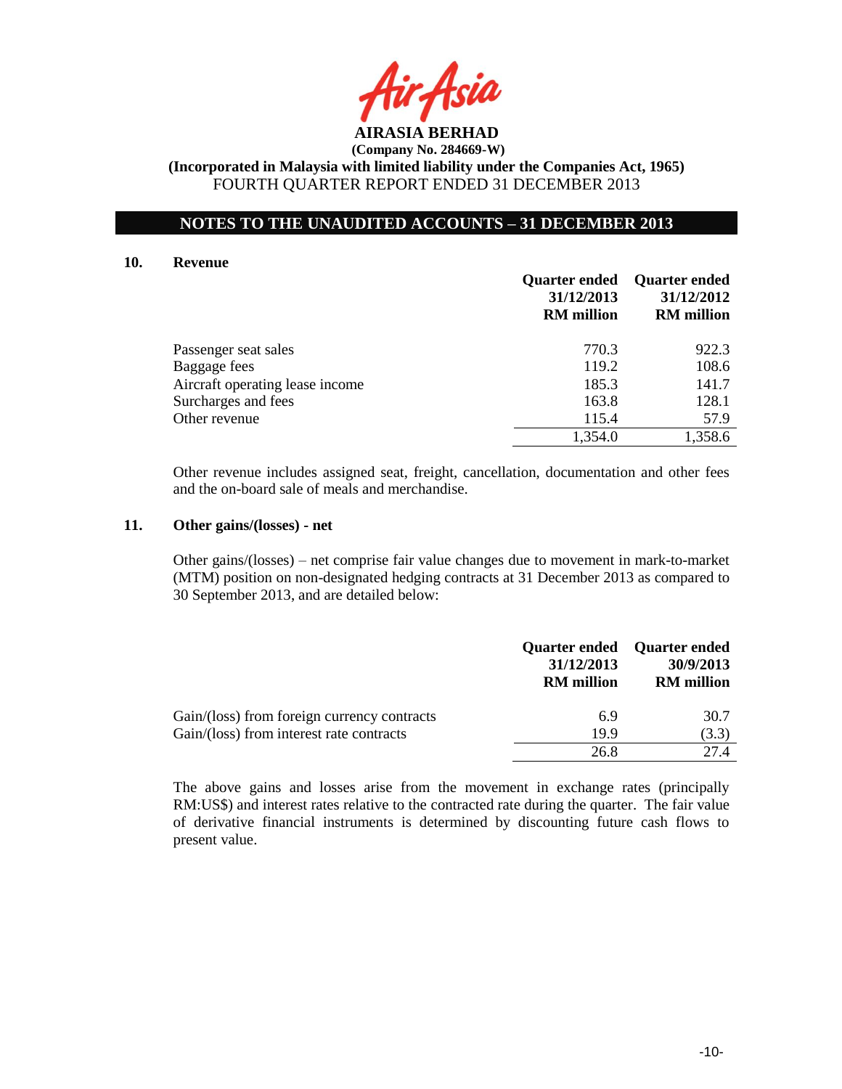

# **NOTES TO THE UNAUDITED ACCOUNTS – 31 DECEMBER 2013**

#### **10. Revenue**

|                                 | <b>Quarter ended</b><br>31/12/2013<br><b>RM</b> million | <b>Quarter ended</b><br>31/12/2012<br><b>RM</b> million |
|---------------------------------|---------------------------------------------------------|---------------------------------------------------------|
| Passenger seat sales            | 770.3                                                   | 922.3                                                   |
| Baggage fees                    | 119.2                                                   | 108.6                                                   |
| Aircraft operating lease income | 185.3                                                   | 141.7                                                   |
| Surcharges and fees             | 163.8                                                   | 128.1                                                   |
| Other revenue                   | 115.4                                                   | 57.9                                                    |
|                                 | 1,354.0                                                 | 1,358.6                                                 |

Other revenue includes assigned seat, freight, cancellation, documentation and other fees and the on-board sale of meals and merchandise.

## **11. Other gains/(losses) - net**

Other gains/(losses) – net comprise fair value changes due to movement in mark-to-market (MTM) position on non-designated hedging contracts at 31 December 2013 as compared to 30 September 2013, and are detailed below:

|                                             | 31/12/2013<br><b>RM</b> million | Quarter ended Quarter ended<br>30/9/2013<br><b>RM</b> million |
|---------------------------------------------|---------------------------------|---------------------------------------------------------------|
| Gain/(loss) from foreign currency contracts | 6.9                             | 30.7                                                          |
| Gain/(loss) from interest rate contracts    | 19.9                            | (3.3)                                                         |
|                                             | 26.8                            | 27.4                                                          |

The above gains and losses arise from the movement in exchange rates (principally RM:US\$) and interest rates relative to the contracted rate during the quarter. The fair value of derivative financial instruments is determined by discounting future cash flows to present value.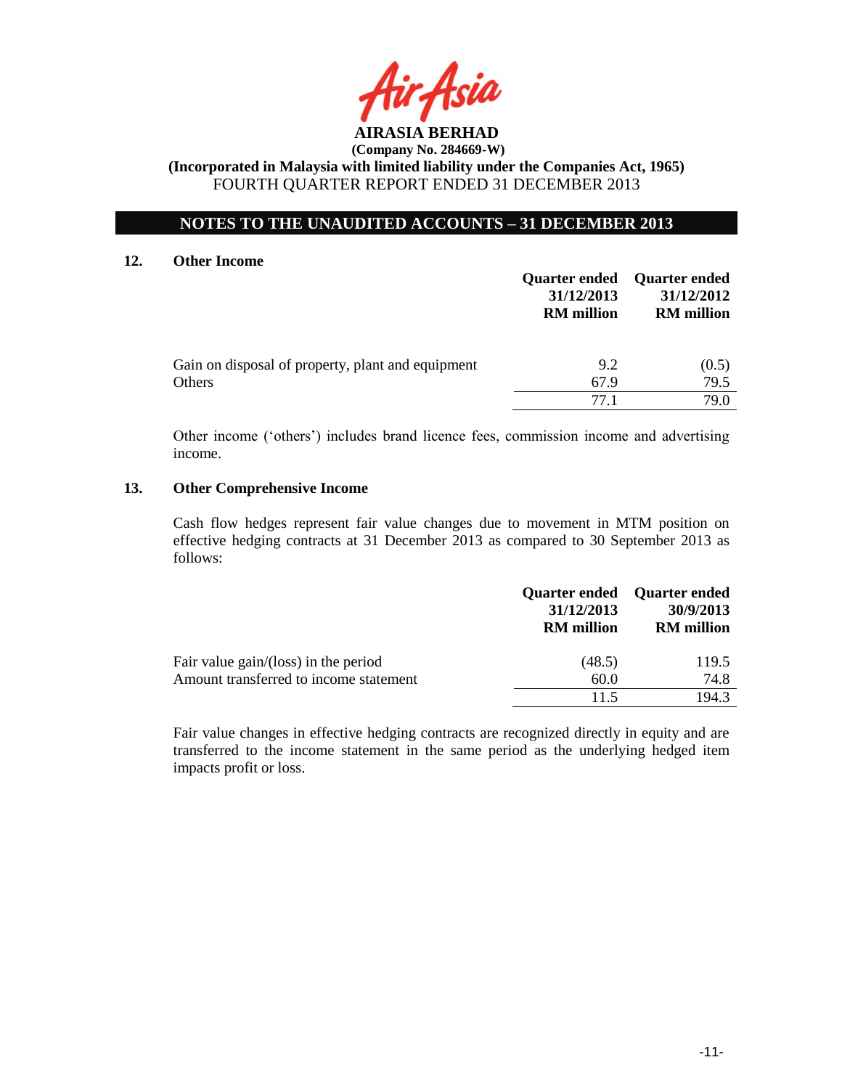

# **NOTES TO THE UNAUDITED ACCOUNTS – 31 DECEMBER 2013**

## **12. Other Income**

|                                                             | <b>Quarter ended</b><br>31/12/2013<br><b>RM</b> million | <b>Ouarter ended</b><br>31/12/2012<br><b>RM</b> million |
|-------------------------------------------------------------|---------------------------------------------------------|---------------------------------------------------------|
| Gain on disposal of property, plant and equipment<br>Others | 9.2<br>67.9                                             | (0.5)<br>79.5                                           |
|                                                             | 77 1                                                    | 79.0                                                    |

Other income ('others') includes brand licence fees, commission income and advertising income.

## **13. Other Comprehensive Income**

Cash flow hedges represent fair value changes due to movement in MTM position on effective hedging contracts at 31 December 2013 as compared to 30 September 2013 as follows:

|                                        | 31/12/2013<br><b>RM</b> million | Quarter ended Quarter ended<br>30/9/2013<br><b>RM</b> million |
|----------------------------------------|---------------------------------|---------------------------------------------------------------|
| Fair value $gain/(loss)$ in the period | (48.5)                          | 119.5                                                         |
| Amount transferred to income statement | 60.0                            | 74.8                                                          |
|                                        | 11.5                            | 194.3                                                         |

Fair value changes in effective hedging contracts are recognized directly in equity and are transferred to the income statement in the same period as the underlying hedged item impacts profit or loss.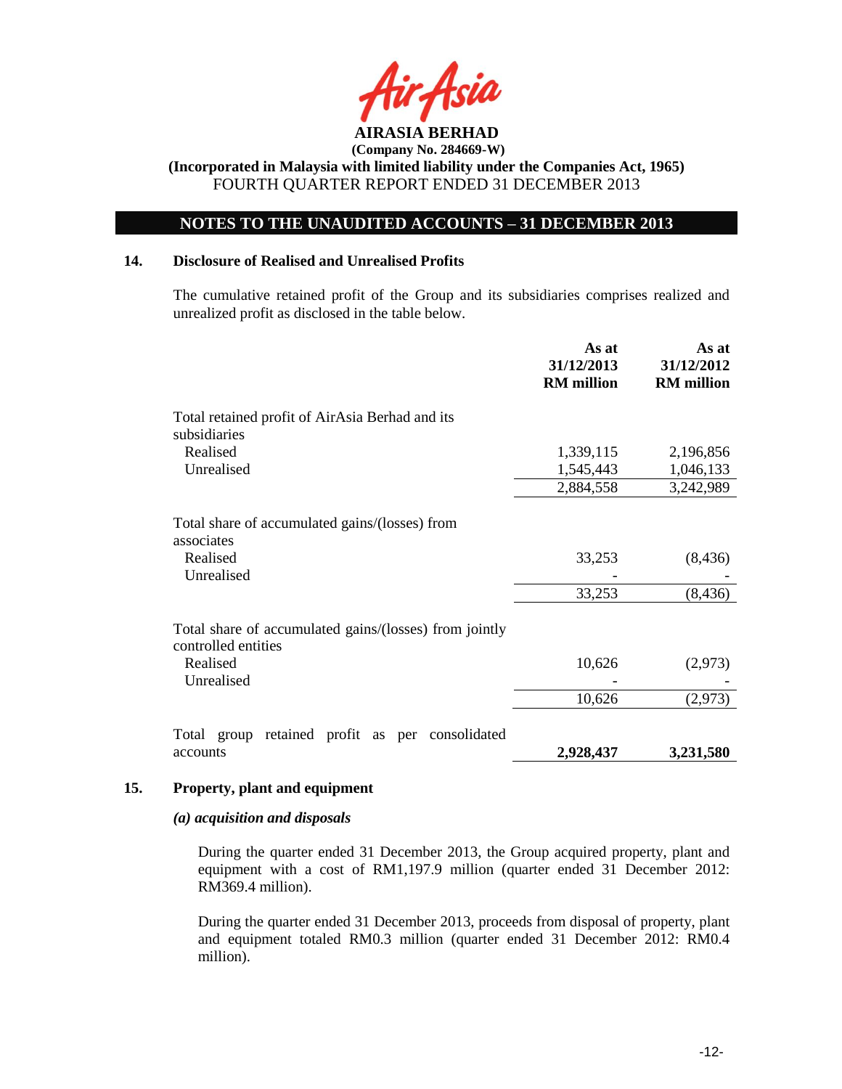

# **NOTES TO THE UNAUDITED ACCOUNTS – 31 DECEMBER 2013**

## **14. Disclosure of Realised and Unrealised Profits**

The cumulative retained profit of the Group and its subsidiaries comprises realized and unrealized profit as disclosed in the table below.

|                                                                               | As at<br>31/12/2013<br><b>RM</b> million | As at<br>31/12/2012<br><b>RM</b> million |
|-------------------------------------------------------------------------------|------------------------------------------|------------------------------------------|
| Total retained profit of AirAsia Berhad and its<br>subsidiaries               |                                          |                                          |
| Realised<br>Unrealised                                                        | 1,339,115<br>1,545,443                   | 2,196,856<br>1,046,133                   |
|                                                                               | 2,884,558                                | 3,242,989                                |
| Total share of accumulated gains/(losses) from<br>associates                  |                                          |                                          |
| Realised<br>Unrealised                                                        | 33,253                                   | (8, 436)                                 |
|                                                                               | 33,253                                   | (8, 436)                                 |
| Total share of accumulated gains/(losses) from jointly<br>controlled entities |                                          |                                          |
| Realised                                                                      | 10,626                                   | (2,973)                                  |
| Unrealised                                                                    |                                          |                                          |
|                                                                               | 10,626                                   | (2,973)                                  |
| Total group retained profit as per consolidated                               |                                          |                                          |
| accounts                                                                      | 2,928,437                                | 3,231,580                                |

## **15. Property, plant and equipment**

#### *(a) acquisition and disposals*

During the quarter ended 31 December 2013, the Group acquired property, plant and equipment with a cost of RM1,197.9 million (quarter ended 31 December 2012: RM369.4 million).

During the quarter ended 31 December 2013, proceeds from disposal of property, plant and equipment totaled RM0.3 million (quarter ended 31 December 2012: RM0.4 million).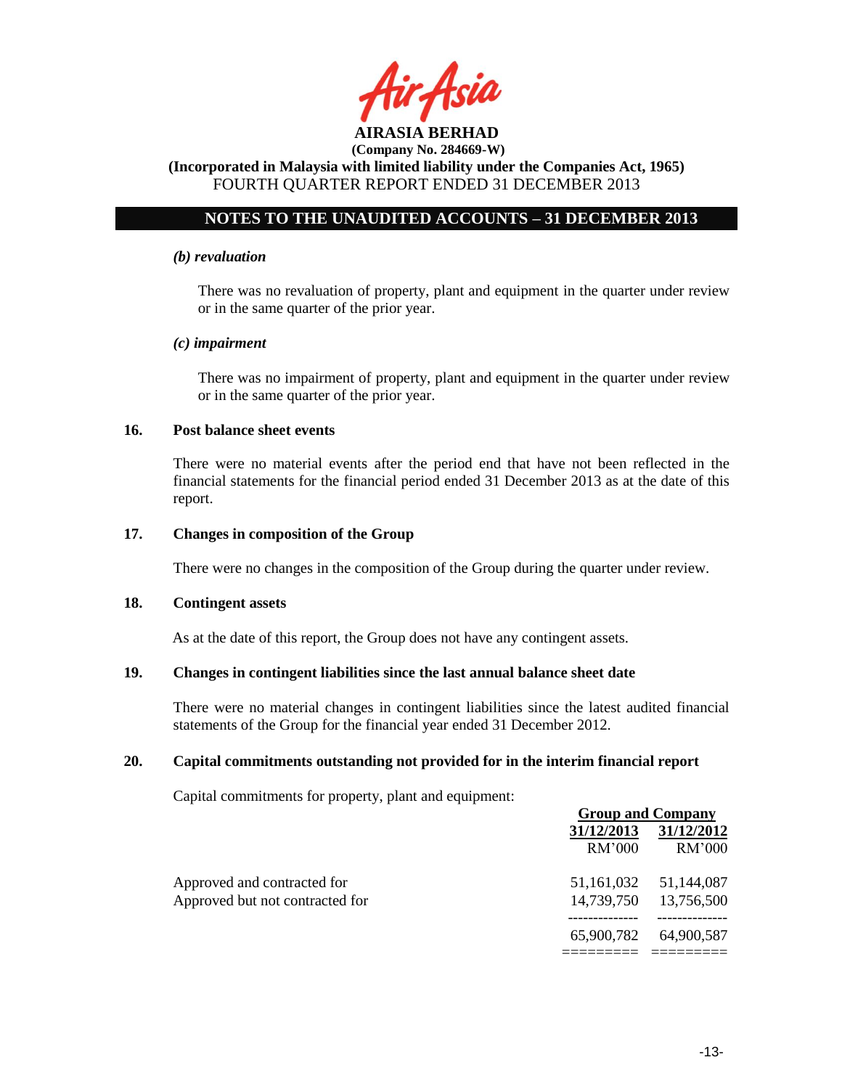

# **NOTES TO THE UNAUDITED ACCOUNTS – 31 DECEMBER 2013**

#### *(b) revaluation*

There was no revaluation of property, plant and equipment in the quarter under review or in the same quarter of the prior year.

## *(c) impairment*

There was no impairment of property, plant and equipment in the quarter under review or in the same quarter of the prior year.

## **16. Post balance sheet events**

There were no material events after the period end that have not been reflected in the financial statements for the financial period ended 31 December 2013 as at the date of this report.

## **17. Changes in composition of the Group**

There were no changes in the composition of the Group during the quarter under review.

#### **18. Contingent assets**

As at the date of this report, the Group does not have any contingent assets.

## **19. Changes in contingent liabilities since the last annual balance sheet date**

There were no material changes in contingent liabilities since the latest audited financial statements of the Group for the financial year ended 31 December 2012.

## **20. Capital commitments outstanding not provided for in the interim financial report**

Capital commitments for property, plant and equipment:

|                                 | <b>Group and Company</b> |                       |  |
|---------------------------------|--------------------------|-----------------------|--|
|                                 | 31/12/2013               | 31/12/2012            |  |
|                                 | RM'000                   | <b>RM'000</b>         |  |
| Approved and contracted for     |                          | 51,161,032 51,144,087 |  |
| Approved but not contracted for | 14,739,750               | 13,756,500            |  |
|                                 | 65,900,782               | 64,900,587            |  |
|                                 |                          |                       |  |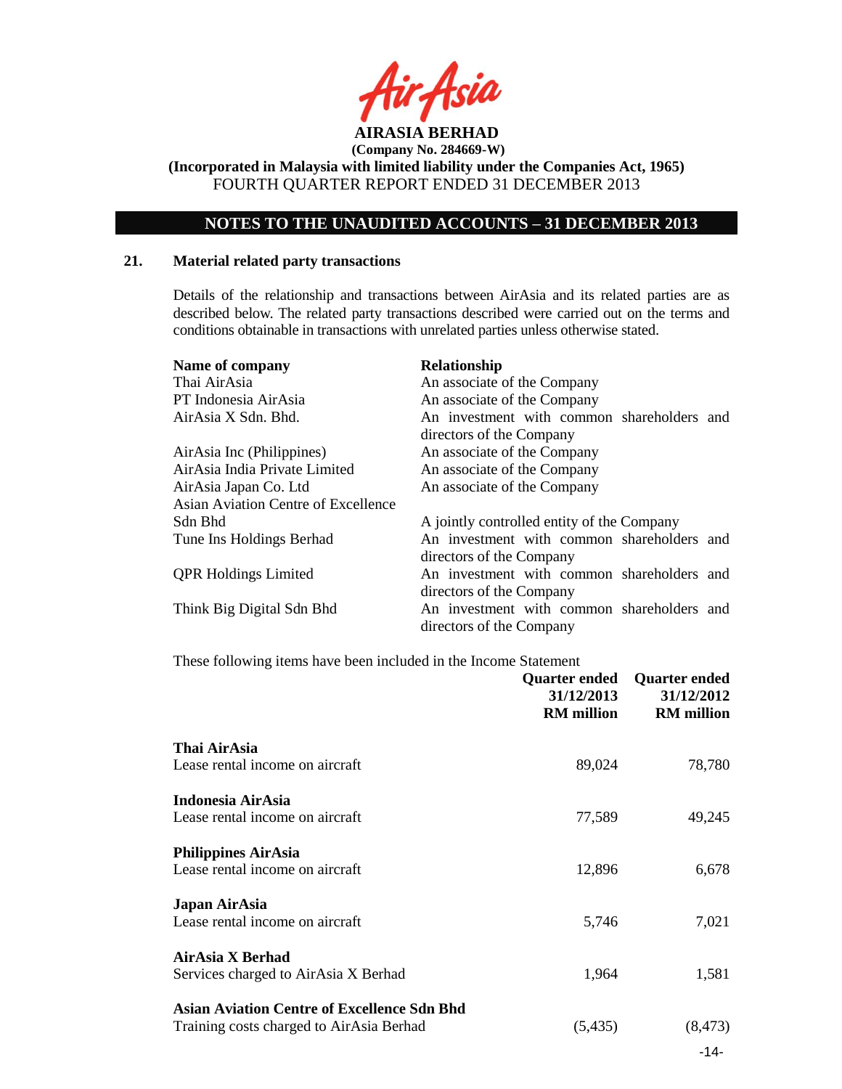

**(Incorporated in Malaysia with limited liability under the Companies Act, 1965)** FOURTH QUARTER REPORT ENDED 31 DECEMBER 2013

# **NOTES TO THE UNAUDITED ACCOUNTS – 31 DECEMBER 2013**

## **21. Material related party transactions**

Details of the relationship and transactions between AirAsia and its related parties are as described below. The related party transactions described were carried out on the terms and conditions obtainable in transactions with unrelated parties unless otherwise stated.

| Name of company<br>Thai AirAsia<br>PT Indonesia AirAsia<br>AirAsia X Sdn. Bhd. | Relationship<br>An associate of the Company<br>An associate of the Company<br>An investment with common shareholders and<br>directors of the Company |
|--------------------------------------------------------------------------------|------------------------------------------------------------------------------------------------------------------------------------------------------|
| AirAsia Inc (Philippines)<br>AirAsia India Private Limited                     | An associate of the Company<br>An associate of the Company                                                                                           |
| AirAsia Japan Co. Ltd<br><b>Asian Aviation Centre of Excellence</b>            | An associate of the Company                                                                                                                          |
| Sdn Bhd                                                                        | A jointly controlled entity of the Company                                                                                                           |
| Tune Ins Holdings Berhad                                                       | An investment with common shareholders and<br>directors of the Company                                                                               |
| <b>QPR Holdings Limited</b>                                                    | An investment with common shareholders and<br>directors of the Company                                                                               |
| Think Big Digital Sdn Bhd                                                      | An investment with common shareholders and<br>directors of the Company                                                                               |

#### These following items have been included in the Income Statement

|                                                                                                | <b>Quarter ended</b><br>31/12/2013<br><b>RM</b> million | <b>Quarter ended</b><br>31/12/2012<br><b>RM</b> million |
|------------------------------------------------------------------------------------------------|---------------------------------------------------------|---------------------------------------------------------|
| Thai AirAsia<br>Lease rental income on aircraft                                                | 89,024                                                  | 78,780                                                  |
| Indonesia AirAsia                                                                              |                                                         |                                                         |
| Lease rental income on aircraft<br><b>Philippines AirAsia</b>                                  | 77,589                                                  | 49,245                                                  |
| Lease rental income on aircraft                                                                | 12,896                                                  | 6,678                                                   |
| Japan AirAsia<br>Lease rental income on aircraft                                               | 5,746                                                   | 7,021                                                   |
| AirAsia X Berhad<br>Services charged to AirAsia X Berhad                                       | 1,964                                                   | 1,581                                                   |
| <b>Asian Aviation Centre of Excellence Sdn Bhd</b><br>Training costs charged to AirAsia Berhad | (5, 435)                                                | (8, 473)                                                |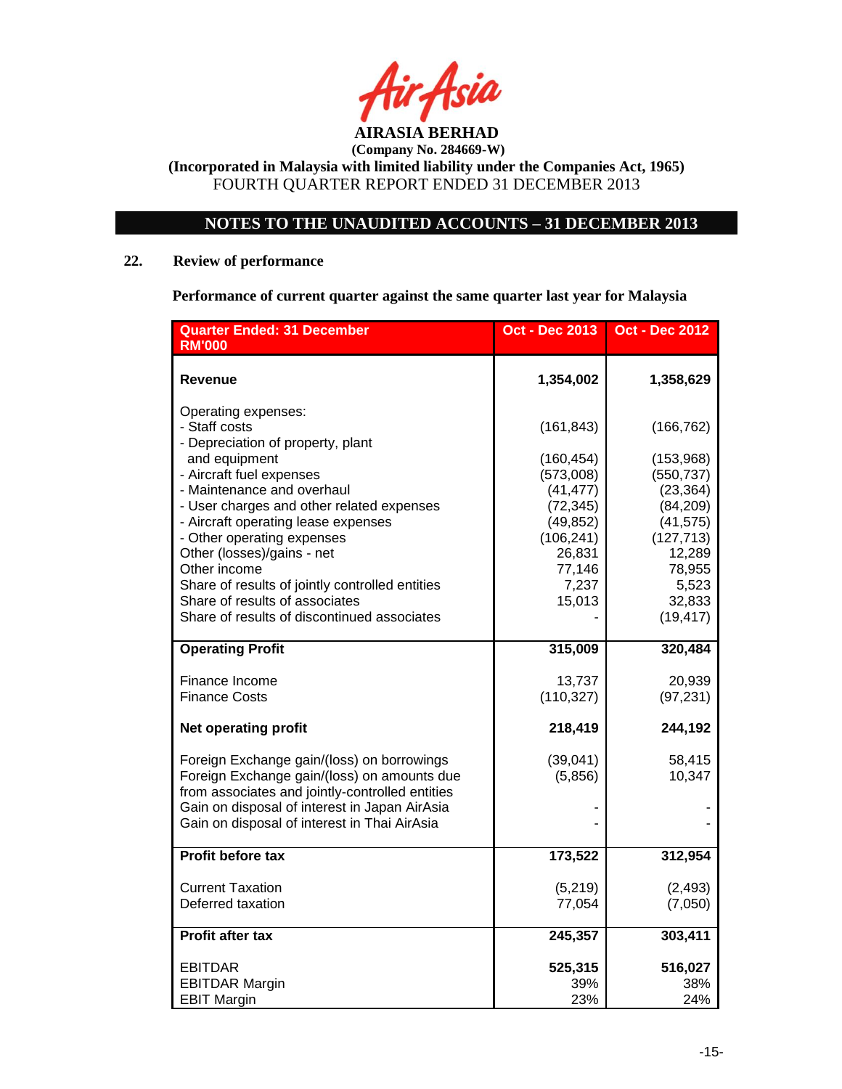

# **NOTES TO THE UNAUDITED ACCOUNTS – 31 DECEMBER 2013**

# **22. Review of performance**

**Performance of current quarter against the same quarter last year for Malaysia**

| <b>Quarter Ended: 31 December</b><br><b>RM'000</b>                                                                                           | <b>Oct - Dec 2013</b>               | <b>Oct - Dec 2012</b>               |
|----------------------------------------------------------------------------------------------------------------------------------------------|-------------------------------------|-------------------------------------|
| Revenue                                                                                                                                      | 1,354,002                           | 1,358,629                           |
| Operating expenses:<br>- Staff costs<br>- Depreciation of property, plant                                                                    | (161, 843)                          | (166, 762)                          |
| and equipment<br>- Aircraft fuel expenses                                                                                                    | (160, 454)<br>(573,008)             | (153,968)<br>(550, 737)             |
| - Maintenance and overhaul<br>- User charges and other related expenses<br>- Aircraft operating lease expenses                               | (41, 477)<br>(72, 345)<br>(49, 852) | (23, 364)<br>(84, 209)<br>(41, 575) |
| - Other operating expenses<br>Other (losses)/gains - net                                                                                     | (106, 241)<br>26,831                | (127, 713)<br>12,289                |
| Other income<br>Share of results of jointly controlled entities<br>Share of results of associates                                            | 77,146<br>7,237<br>15,013           | 78,955<br>5,523<br>32,833           |
| Share of results of discontinued associates                                                                                                  |                                     | (19, 417)                           |
| <b>Operating Profit</b>                                                                                                                      | 315,009                             | 320,484                             |
| Finance Income<br><b>Finance Costs</b>                                                                                                       | 13,737<br>(110, 327)                | 20,939<br>(97, 231)                 |
| <b>Net operating profit</b>                                                                                                                  | 218,419                             | 244,192                             |
| Foreign Exchange gain/(loss) on borrowings<br>Foreign Exchange gain/(loss) on amounts due<br>from associates and jointly-controlled entities | (39,041)<br>(5,856)                 | 58,415<br>10,347                    |
| Gain on disposal of interest in Japan AirAsia<br>Gain on disposal of interest in Thai AirAsia                                                |                                     |                                     |
| Profit before tax                                                                                                                            | 173,522                             | 312,954                             |
| <b>Current Taxation</b><br>Deferred taxation                                                                                                 | (5,219)<br>77,054                   | (2, 493)<br>(7,050)                 |
| <b>Profit after tax</b>                                                                                                                      | 245,357                             | 303,411                             |
| <b>EBITDAR</b>                                                                                                                               | 525,315                             | 516,027                             |
| <b>EBITDAR Margin</b><br><b>EBIT Margin</b>                                                                                                  | 39%<br>23%                          | 38%<br>24%                          |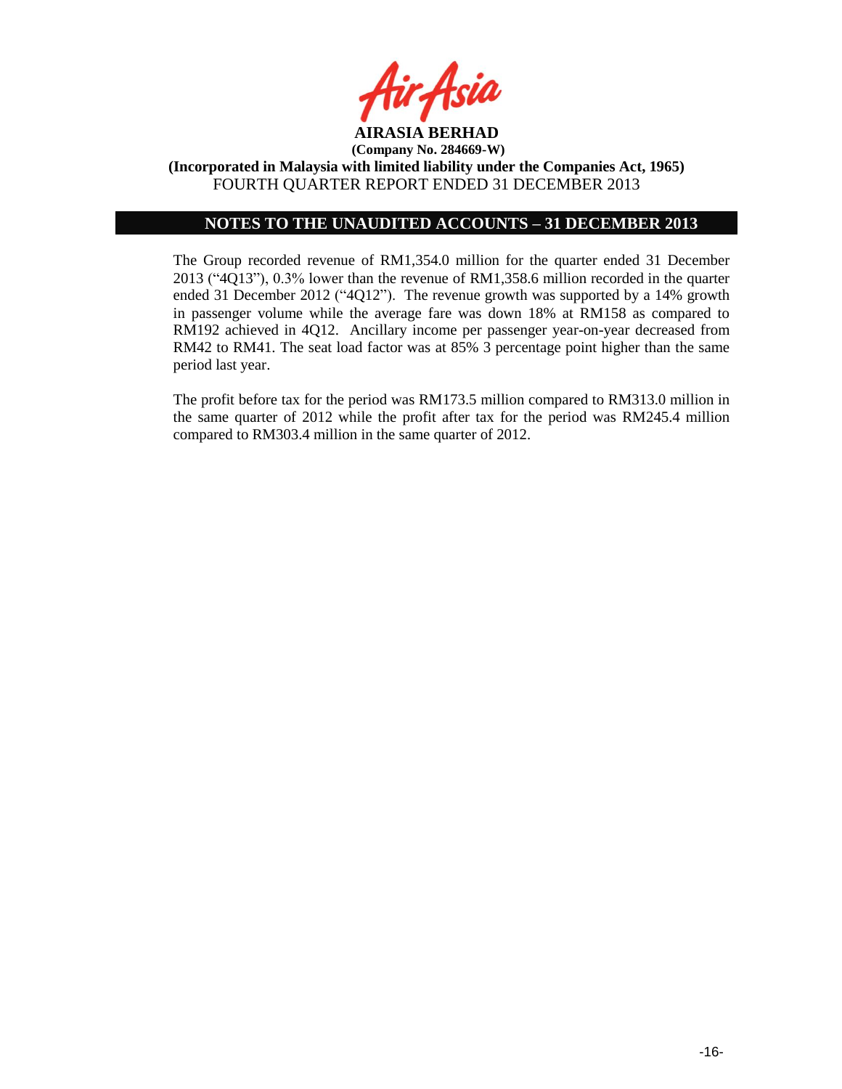

# **NOTES TO THE UNAUDITED ACCOUNTS – 31 DECEMBER 2013**

The Group recorded revenue of RM1,354.0 million for the quarter ended 31 December 2013 ("4Q13"), 0.3% lower than the revenue of RM1,358.6 million recorded in the quarter ended 31 December 2012 ("4Q12"). The revenue growth was supported by a 14% growth in passenger volume while the average fare was down 18% at RM158 as compared to RM192 achieved in 4Q12. Ancillary income per passenger year-on-year decreased from RM42 to RM41. The seat load factor was at 85% 3 percentage point higher than the same period last year.

The profit before tax for the period was RM173.5 million compared to RM313.0 million in the same quarter of 2012 while the profit after tax for the period was RM245.4 million compared to RM303.4 million in the same quarter of 2012.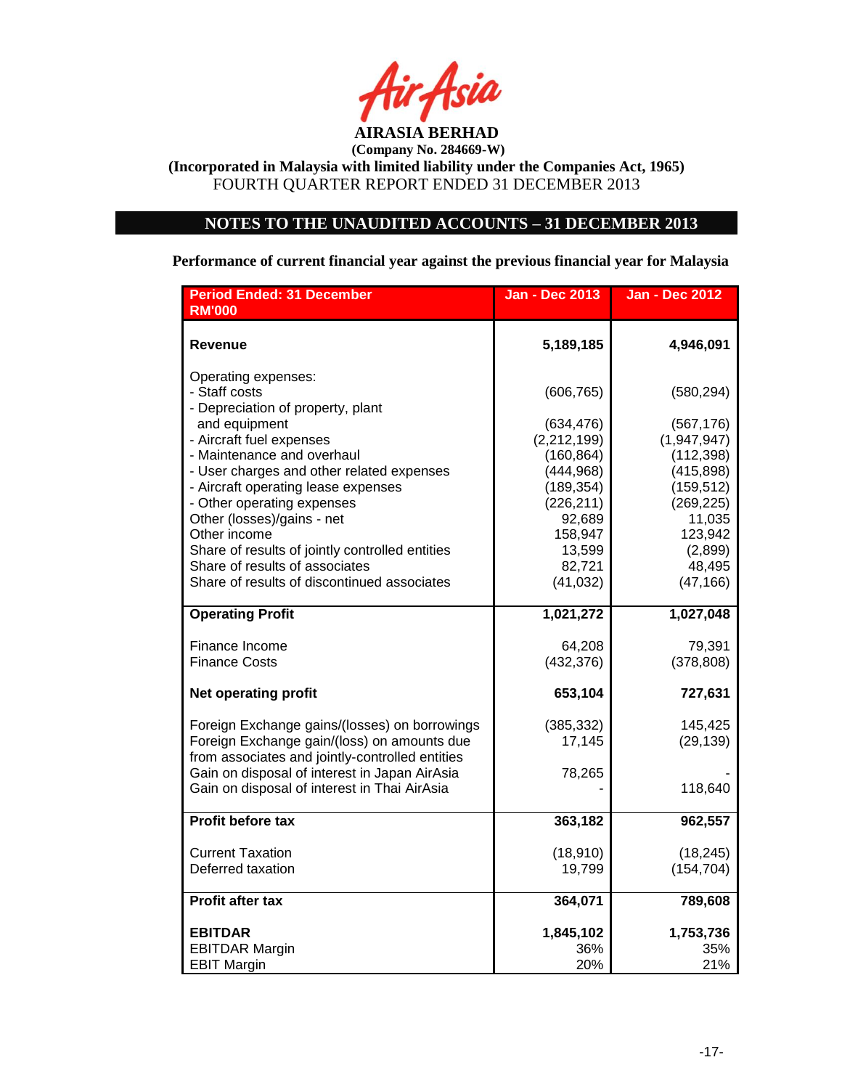

**(Company No. 284669-W) (Incorporated in Malaysia with limited liability under the Companies Act, 1965)**

FOURTH QUARTER REPORT ENDED 31 DECEMBER 2013

# **NOTES TO THE UNAUDITED ACCOUNTS – 31 DECEMBER 2013**

**Performance of current financial year against the previous financial year for Malaysia**

| <b>Period Ended: 31 December</b><br><b>RM'000</b>  | <b>Jan - Dec 2013</b> | <b>Jan - Dec 2012</b> |
|----------------------------------------------------|-----------------------|-----------------------|
| Revenue                                            | 5,189,185             | 4,946,091             |
|                                                    |                       |                       |
| Operating expenses:                                |                       |                       |
| - Staff costs                                      | (606, 765)            | (580, 294)            |
| - Depreciation of property, plant<br>and equipment | (634, 476)            | (567, 176)            |
| - Aircraft fuel expenses                           | (2,212,199)           | (1,947,947)           |
| - Maintenance and overhaul                         | (160, 864)            | (112, 398)            |
| - User charges and other related expenses          | (444, 968)            | (415, 898)            |
| - Aircraft operating lease expenses                | (189, 354)            | (159, 512)            |
| - Other operating expenses                         | (226, 211)            | (269, 225)            |
| Other (losses)/gains - net<br>Other income         | 92,689<br>158,947     | 11,035<br>123,942     |
| Share of results of jointly controlled entities    | 13,599                | (2,899)               |
| Share of results of associates                     | 82,721                | 48,495                |
| Share of results of discontinued associates        | (41, 032)             | (47, 166)             |
| <b>Operating Profit</b>                            | 1,021,272             | 1,027,048             |
|                                                    |                       |                       |
| Finance Income                                     | 64,208                | 79,391                |
| <b>Finance Costs</b>                               | (432, 376)            | (378, 808)            |
| <b>Net operating profit</b>                        | 653,104               | 727,631               |
| Foreign Exchange gains/(losses) on borrowings      | (385, 332)            | 145,425               |
| Foreign Exchange gain/(loss) on amounts due        | 17,145                | (29, 139)             |
| from associates and jointly-controlled entities    |                       |                       |
| Gain on disposal of interest in Japan AirAsia      | 78,265                |                       |
| Gain on disposal of interest in Thai AirAsia       |                       | 118,640               |
| Profit before tax                                  | 363,182               | 962,557               |
| <b>Current Taxation</b>                            | (18, 910)             | (18, 245)             |
| Deferred taxation                                  | 19,799                | (154, 704)            |
| <b>Profit after tax</b>                            | 364,071               | 789,608               |
|                                                    |                       |                       |
| <b>EBITDAR</b>                                     | 1,845,102             | 1,753,736             |
| <b>EBITDAR Margin</b>                              | 36%                   | 35%                   |
| <b>EBIT Margin</b>                                 | 20%                   | 21%                   |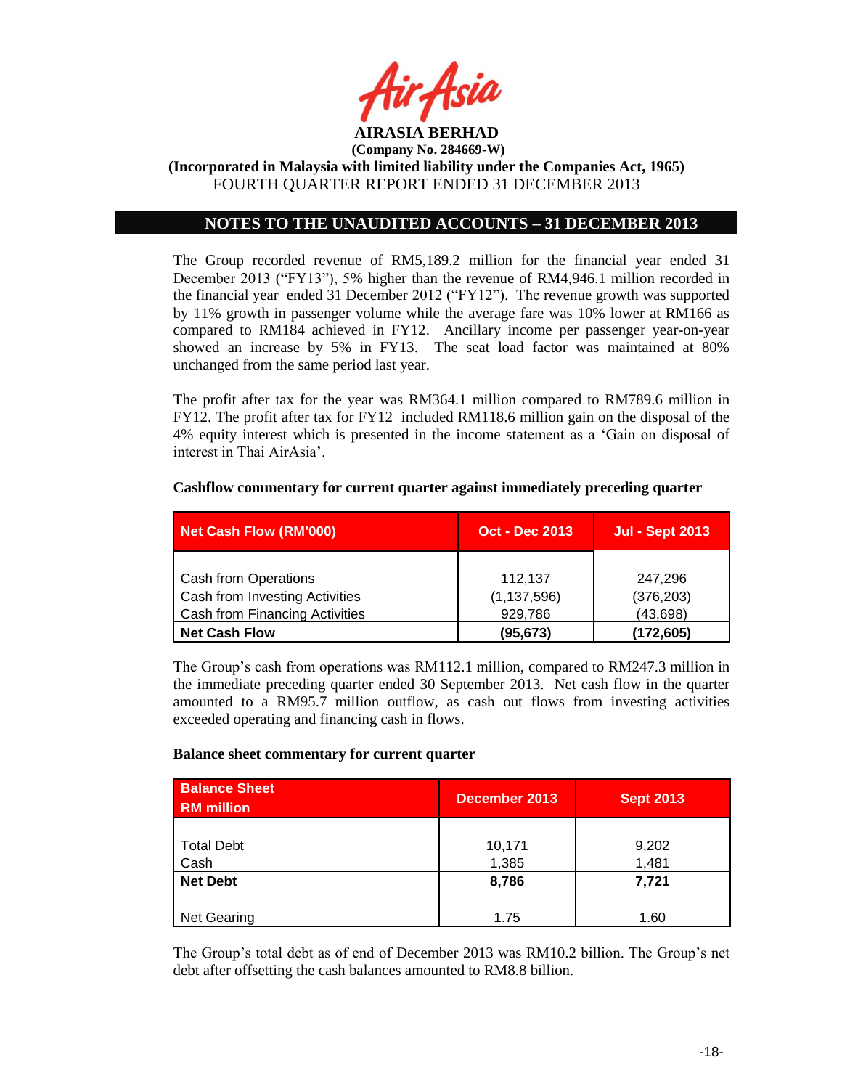

# **NOTES TO THE UNAUDITED ACCOUNTS – 31 DECEMBER 2013**

The Group recorded revenue of RM5,189.2 million for the financial year ended 31 December 2013 ("FY13"), 5% higher than the revenue of RM4,946.1 million recorded in the financial year ended 31 December 2012 ("FY12"). The revenue growth was supported by 11% growth in passenger volume while the average fare was 10% lower at RM166 as compared to RM184 achieved in FY12. Ancillary income per passenger year-on-year showed an increase by 5% in FY13. The seat load factor was maintained at 80% unchanged from the same period last year.

The profit after tax for the year was RM364.1 million compared to RM789.6 million in FY12. The profit after tax for FY12 included RM118.6 million gain on the disposal of the 4% equity interest which is presented in the income statement as a 'Gain on disposal of interest in Thai AirAsia'.

| <b>Net Cash Flow (RM'000)</b>  | <b>Oct - Dec 2013</b> | <b>Jul - Sept 2013</b> |
|--------------------------------|-----------------------|------------------------|
|                                |                       |                        |
| <b>Cash from Operations</b>    | 112.137               | 247.296                |
| Cash from Investing Activities | (1, 137, 596)         | (376, 203)             |
| Cash from Financing Activities | 929,786               | (43, 698)              |
| <b>Net Cash Flow</b>           | (95, 673)             | (172,605)              |

#### **Cashflow commentary for current quarter against immediately preceding quarter**

The Group's cash from operations was RM112.1 million, compared to RM247.3 million in the immediate preceding quarter ended 30 September 2013. Net cash flow in the quarter amounted to a RM95.7 million outflow, as cash out flows from investing activities exceeded operating and financing cash in flows.

#### **Balance sheet commentary for current quarter**

| <b>Balance Sheet</b><br><b>RM</b> million | December 2013   | <b>Sept 2013</b> |
|-------------------------------------------|-----------------|------------------|
| <b>Total Debt</b><br>Cash                 | 10,171<br>1,385 | 9,202<br>1,481   |
| <b>Net Debt</b>                           | 8,786           | 7,721            |
| Net Gearing                               | 1.75            | 1.60             |

The Group's total debt as of end of December 2013 was RM10.2 billion. The Group's net debt after offsetting the cash balances amounted to RM8.8 billion.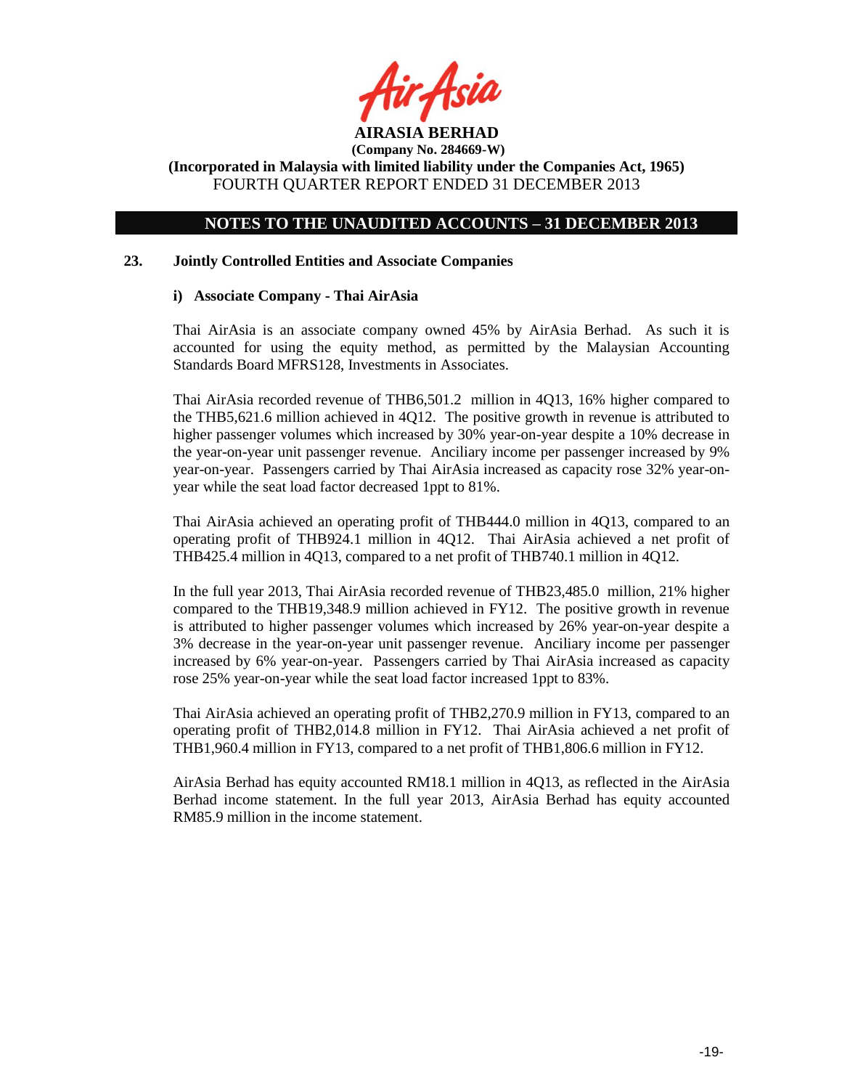

# **NOTES TO THE UNAUDITED ACCOUNTS – 31 DECEMBER 2013**

## **23. Jointly Controlled Entities and Associate Companies**

## **i) Associate Company - Thai AirAsia**

Thai AirAsia is an associate company owned 45% by AirAsia Berhad. As such it is accounted for using the equity method, as permitted by the Malaysian Accounting Standards Board MFRS128, Investments in Associates.

Thai AirAsia recorded revenue of THB6,501.2 million in 4Q13, 16% higher compared to the THB5,621.6 million achieved in 4Q12. The positive growth in revenue is attributed to higher passenger volumes which increased by 30% year-on-year despite a 10% decrease in the year-on-year unit passenger revenue. Anciliary income per passenger increased by 9% year-on-year. Passengers carried by Thai AirAsia increased as capacity rose 32% year-onyear while the seat load factor decreased 1ppt to 81%.

Thai AirAsia achieved an operating profit of THB444.0 million in 4Q13, compared to an operating profit of THB924.1 million in 4Q12. Thai AirAsia achieved a net profit of THB425.4 million in 4Q13, compared to a net profit of THB740.1 million in 4Q12.

In the full year 2013, Thai AirAsia recorded revenue of THB23,485.0 million, 21% higher compared to the THB19,348.9 million achieved in FY12. The positive growth in revenue is attributed to higher passenger volumes which increased by 26% year-on-year despite a 3% decrease in the year-on-year unit passenger revenue. Anciliary income per passenger increased by 6% year-on-year. Passengers carried by Thai AirAsia increased as capacity rose 25% year-on-year while the seat load factor increased 1ppt to 83%.

Thai AirAsia achieved an operating profit of THB2,270.9 million in FY13, compared to an operating profit of THB2,014.8 million in FY12. Thai AirAsia achieved a net profit of THB1,960.4 million in FY13, compared to a net profit of THB1,806.6 million in FY12.

AirAsia Berhad has equity accounted RM18.1 million in 4Q13, as reflected in the AirAsia Berhad income statement. In the full year 2013, AirAsia Berhad has equity accounted RM85.9 million in the income statement.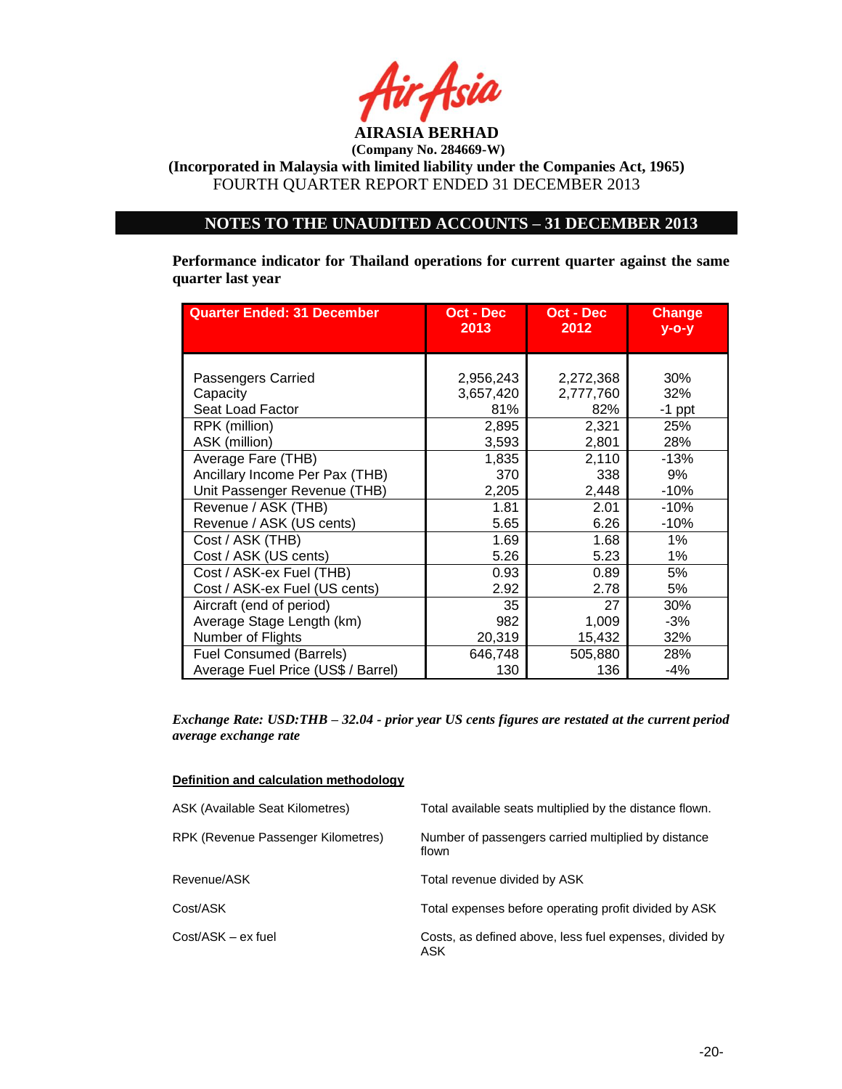

# **NOTES TO THE UNAUDITED ACCOUNTS – 31 DECEMBER 2013**

**Performance indicator for Thailand operations for current quarter against the same quarter last year**

| <b>Quarter Ended: 31 December</b>  | Oct - Dec | Oct - Dec | <b>Change</b> |
|------------------------------------|-----------|-----------|---------------|
|                                    | 2013      | 2012      | $y$ -o-y      |
| Passengers Carried                 | 2,956,243 | 2,272,368 | 30%           |
| Capacity                           | 3,657,420 | 2,777,760 | 32%           |
| Seat Load Factor                   | 81%       | 82%       | $-1$ ppt      |
| RPK (million)                      | 2,895     | 2,321     | 25%           |
| ASK (million)                      | 3,593     | 2,801     | 28%           |
| Average Fare (THB)                 | 1,835     | 2,110     | $-13%$        |
| Ancillary Income Per Pax (THB)     | 370       | 338       | 9%            |
| Unit Passenger Revenue (THB)       | 2,205     | 2,448     | $-10%$        |
| Revenue / ASK (THB)                | 1.81      | 2.01      | $-10%$        |
| Revenue / ASK (US cents)           | 5.65      | 6.26      | $-10%$        |
| Cost / ASK (THB)                   | 1.69      | 1.68      | $1\%$         |
| Cost / ASK (US cents)              | 5.26      | 5.23      | 1%            |
| Cost / ASK-ex Fuel (THB)           | 0.93      | 0.89      | 5%            |
| Cost / ASK-ex Fuel (US cents)      | 2.92      | 2.78      | 5%            |
| Aircraft (end of period)           | 35        | 27        | 30%           |
| Average Stage Length (km)          | 982       | 1,009     | $-3%$         |
| Number of Flights                  | 20,319    | 15,432    | 32%           |
| <b>Fuel Consumed (Barrels)</b>     | 646,748   | 505,880   | 28%           |
| Average Fuel Price (US\$ / Barrel) | 130       | 136       | $-4%$         |

*Exchange Rate: USD:THB – 32.04 - prior year US cents figures are restated at the current period average exchange rate*

| ASK (Available Seat Kilometres)    | Total available seats multiplied by the distance flown.        |
|------------------------------------|----------------------------------------------------------------|
| RPK (Revenue Passenger Kilometres) | Number of passengers carried multiplied by distance<br>flown   |
| Revenue/ASK                        | Total revenue divided by ASK                                   |
| Cost/ASK                           | Total expenses before operating profit divided by ASK          |
| $Cost/ASK - ex fuel$               | Costs, as defined above, less fuel expenses, divided by<br>ASK |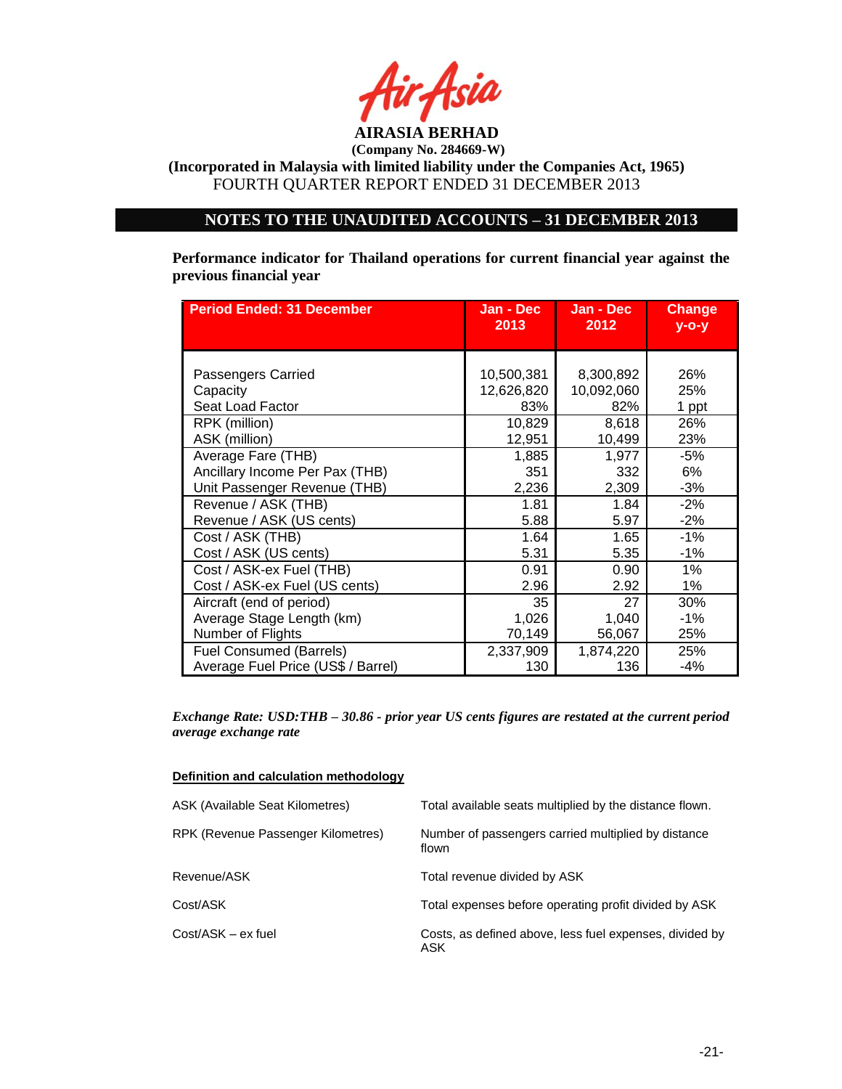

**(Incorporated in Malaysia with limited liability under the Companies Act, 1965)** FOURTH QUARTER REPORT ENDED 31 DECEMBER 2013

# **NOTES TO THE UNAUDITED ACCOUNTS – 31 DECEMBER 2013**

**Performance indicator for Thailand operations for current financial year against the previous financial year**

| <b>Period Ended: 31 December</b>   | Jan - Dec  | Jan - Dec  | <b>Change</b> |
|------------------------------------|------------|------------|---------------|
|                                    | 2013       | 2012       | $y$ -o-y      |
| Passengers Carried                 | 10,500,381 | 8,300,892  | 26%           |
| Capacity                           | 12,626,820 | 10,092,060 | 25%           |
| Seat Load Factor                   | 83%        | 82%        | 1 ppt         |
| RPK (million)                      | 10,829     | 8,618      | 26%           |
| ASK (million)                      | 12,951     | 10,499     | 23%           |
| Average Fare (THB)                 | 1,885      | 1,977      | -5%           |
| Ancillary Income Per Pax (THB)     | 351        | 332        | 6%            |
| Unit Passenger Revenue (THB)       | 2,236      | 2,309      | $-3%$         |
| Revenue / ASK (THB)                | 1.81       | 1.84       | $-2%$         |
| Revenue / ASK (US cents)           | 5.88       | 5.97       | $-2%$         |
| Cost / ASK (THB)                   | 1.64       | 1.65       | $-1%$         |
| Cost / ASK (US cents)              | 5.31       | 5.35       | $-1\%$        |
| Cost / ASK-ex Fuel (THB)           | 0.91       | 0.90       | $1\%$         |
| Cost / ASK-ex Fuel (US cents)      | 2.96       | 2.92       | $1\%$         |
| Aircraft (end of period)           | 35         | 27         | 30%           |
| Average Stage Length (km)          | 1,026      | 1,040      | $-1\%$        |
| Number of Flights                  | 70,149     | 56,067     | 25%           |
| <b>Fuel Consumed (Barrels)</b>     | 2,337,909  | 1,874,220  | 25%           |
| Average Fuel Price (US\$ / Barrel) | 130        | 136        | $-4%$         |

*Exchange Rate: USD:THB – 30.86 - prior year US cents figures are restated at the current period average exchange rate*

|--|

| <b>ASK (Available Seat Kilometres)</b> | Total available seats multiplied by the distance flown.        |
|----------------------------------------|----------------------------------------------------------------|
| RPK (Revenue Passenger Kilometres)     | Number of passengers carried multiplied by distance<br>flown   |
| Revenue/ASK                            | Total revenue divided by ASK                                   |
| Cost/ASK                               | Total expenses before operating profit divided by ASK          |
| Cost/ASK - ex fuel                     | Costs, as defined above, less fuel expenses, divided by<br>ASK |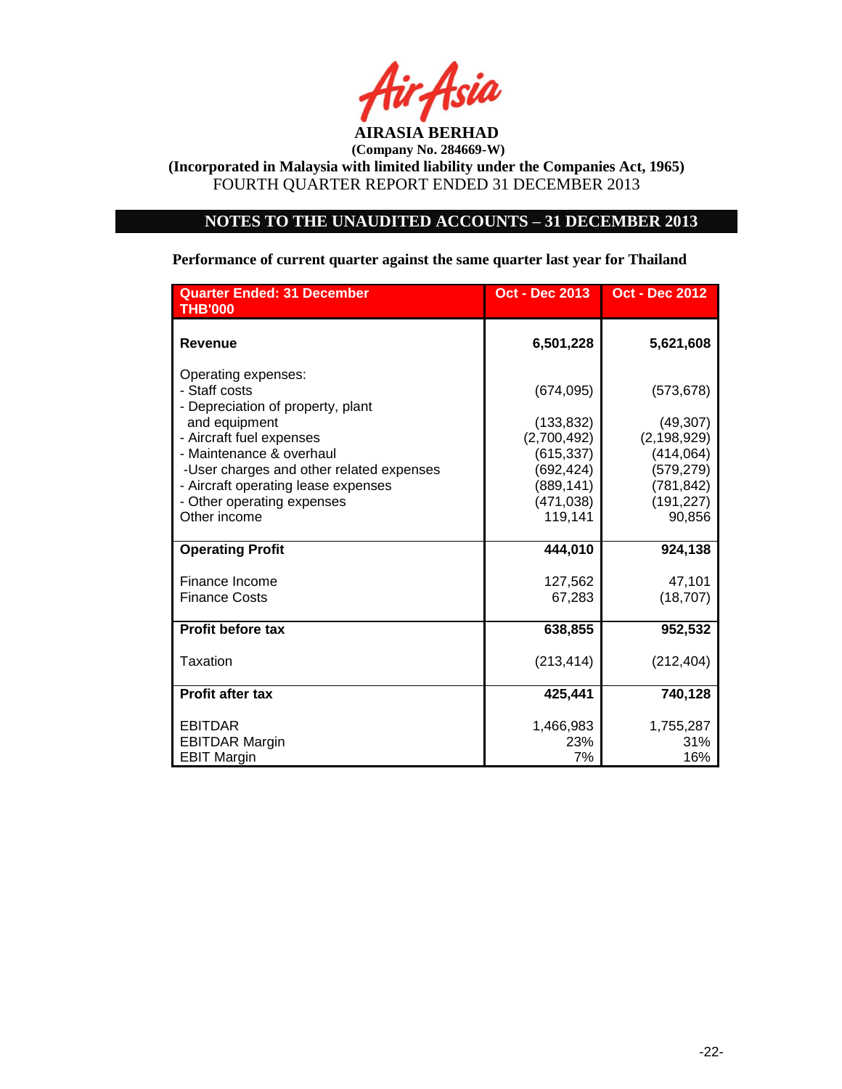

## **NOTES TO THE UNAUDITED ACCOUNTS – 31 DECEMBER 2013**

# **Quarter Ended: 31 December Oct - Dec 2013 Oct - Dec 2012 THB'000 Revenue 6,501,228 5,621,608**  Operating expenses: - Staff costs (674,095) (573,678) - Depreciation of property, plant and equipment (133,832) (49,307)<br>Aircraft fuel expenses (2,700,492) (2,198,929) - Aircraft fuel expenses (2,700,492) - Maintenance & overhaul (615,337) (414,064) -User charges and other related expenses (692,424) (579,279) - Aircraft operating lease expenses (889,141) (781,842) - Other operating expenses (471,038) (191,227) Other income 119,141 90,856 **Operating Profit 444,010 924,138**  Finance Income 27,562 47,101 Finance Costs **67,283** (18,707) **Profit before tax 638,855 952,532**  Taxation (212,404) (213,414) (212,404) **Profit after tax 425,441 740,128**  EBITDAR 1,466,983 1,755,287 EBITDAR Margin 23% 23% 31% EBIT Margin 7% 16%

**Performance of current quarter against the same quarter last year for Thailand**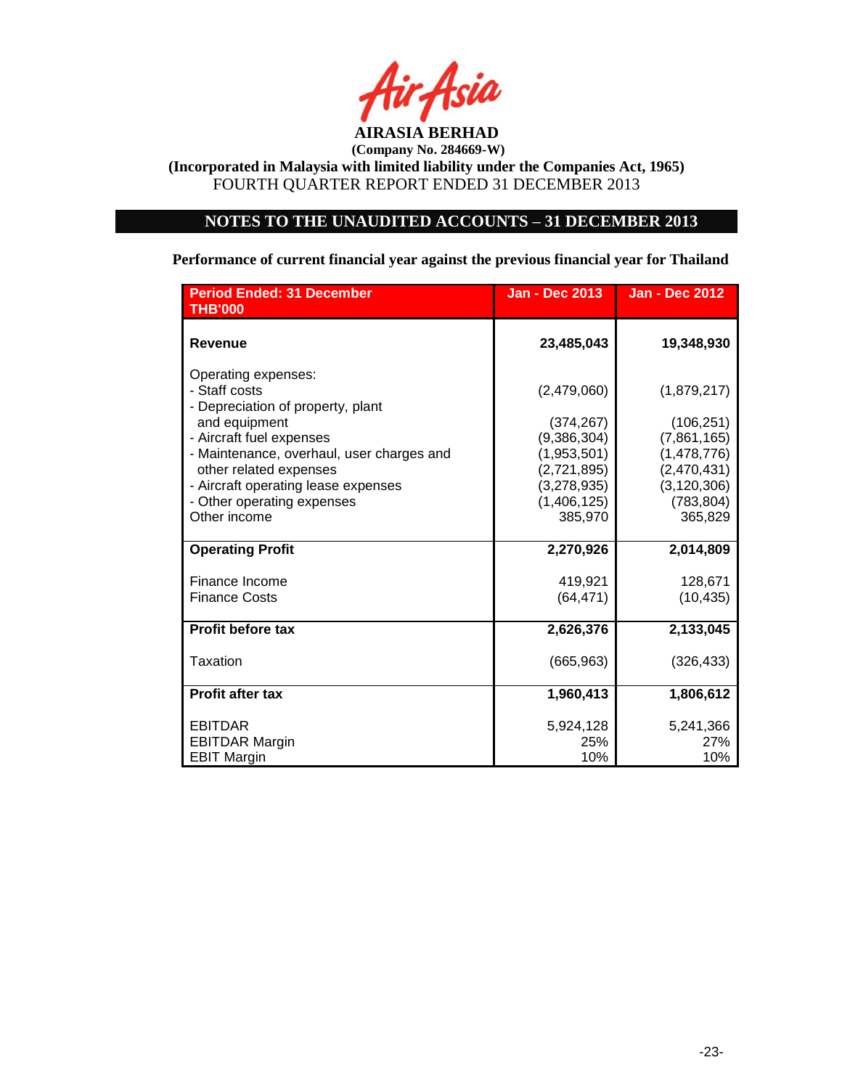

**(Incorporated in Malaysia with limited liability under the Companies Act, 1965)** FOURTH QUARTER REPORT ENDED 31 DECEMBER 2013

# **NOTES TO THE UNAUDITED ACCOUNTS – 31 DECEMBER 2013**

# **Performance of current financial year against the previous financial year for Thailand**

| <b>Period Ended: 31 December</b><br><b>THB'000</b>                        | <b>Jan - Dec 2013</b> | <b>Jan - Dec 2012</b> |
|---------------------------------------------------------------------------|-----------------------|-----------------------|
| <b>Revenue</b>                                                            | 23,485,043            | 19,348,930            |
| Operating expenses:<br>- Staff costs<br>- Depreciation of property, plant | (2,479,060)           | (1,879,217)           |
| and equipment                                                             | (374, 267)            | (106, 251)            |
| - Aircraft fuel expenses                                                  | (9,386,304)           | (7,861,165)           |
| - Maintenance, overhaul, user charges and                                 | (1,953,501)           | (1,478,776)           |
| other related expenses                                                    | (2,721,895)           | (2,470,431)           |
| - Aircraft operating lease expenses                                       | (3,278,935)           | (3, 120, 306)         |
| - Other operating expenses                                                | (1,406,125)           | (783, 804)            |
| Other income                                                              | 385,970               | 365,829               |
| <b>Operating Profit</b>                                                   | 2,270,926             | 2,014,809             |
| Finance Income                                                            | 419,921               | 128,671               |
| <b>Finance Costs</b>                                                      | (64, 471)             | (10, 435)             |
| <b>Profit before tax</b>                                                  | 2,626,376             | 2,133,045             |
| Taxation                                                                  | (665, 963)            | (326, 433)            |
| <b>Profit after tax</b>                                                   | 1,960,413             | 1,806,612             |
| <b>EBITDAR</b>                                                            | 5,924,128             | 5,241,366             |
| <b>EBITDAR Margin</b>                                                     | 25%                   | 27%                   |
| <b>EBIT Margin</b>                                                        | 10%                   | 10%                   |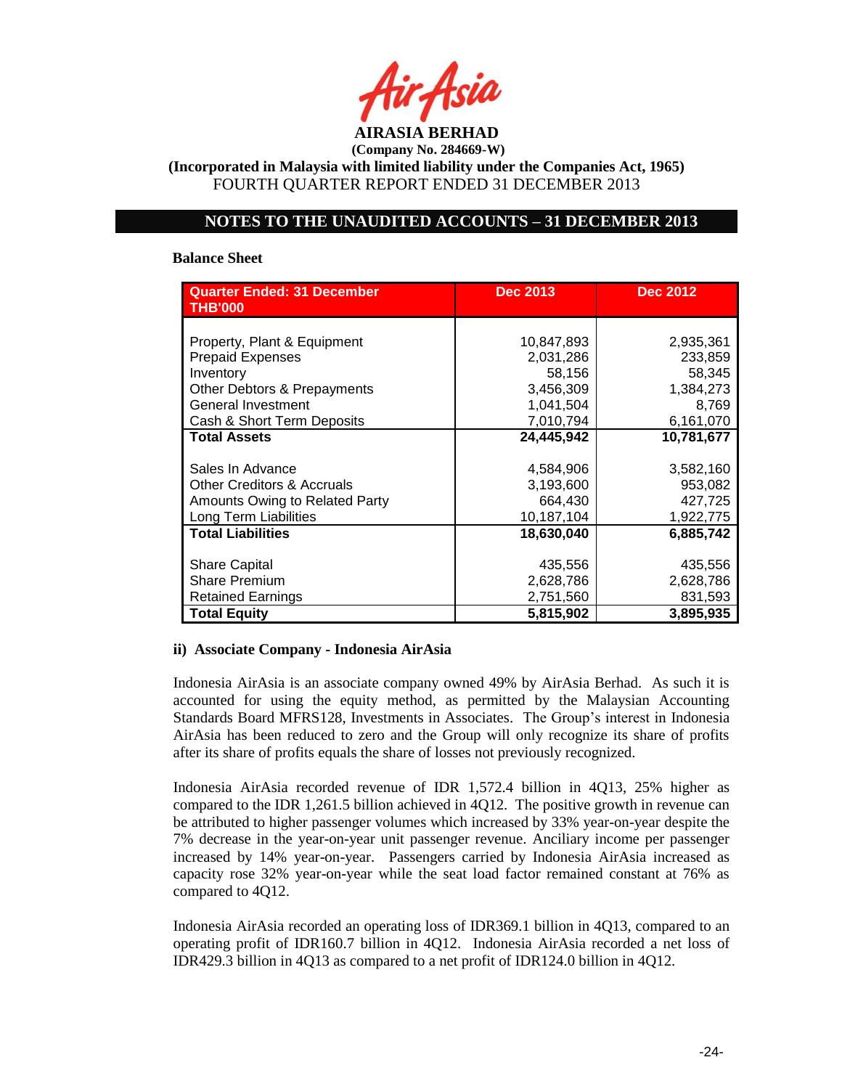

**(Incorporated in Malaysia with limited liability under the Companies Act, 1965)** FOURTH QUARTER REPORT ENDED 31 DECEMBER 2013

# **NOTES TO THE UNAUDITED ACCOUNTS – 31 DECEMBER 2013**

#### **Balance Sheet**

| <b>Quarter Ended: 31 December</b><br><b>THB'000</b> | <b>Dec 2013</b> | <b>Dec 2012</b> |
|-----------------------------------------------------|-----------------|-----------------|
|                                                     |                 |                 |
| Property, Plant & Equipment                         | 10,847,893      | 2,935,361       |
| <b>Prepaid Expenses</b>                             | 2,031,286       | 233,859         |
| Inventory                                           | 58,156          | 58,345          |
| Other Debtors & Prepayments                         | 3,456,309       | 1,384,273       |
| General Investment                                  | 1,041,504       | 8,769           |
| Cash & Short Term Deposits                          | 7,010,794       | 6,161,070       |
| <b>Total Assets</b>                                 | 24,445,942      | 10,781,677      |
|                                                     |                 |                 |
| Sales In Advance                                    | 4,584,906       | 3,582,160       |
| <b>Other Creditors &amp; Accruals</b>               | 3,193,600       | 953,082         |
| Amounts Owing to Related Party                      | 664,430         | 427,725         |
| Long Term Liabilities                               | 10,187,104      | 1,922,775       |
| <b>Total Liabilities</b>                            | 18,630,040      | 6,885,742       |
|                                                     |                 |                 |
| <b>Share Capital</b>                                | 435,556         | 435,556         |
| <b>Share Premium</b>                                | 2,628,786       | 2,628,786       |
| Retained Earnings                                   | 2,751,560       | 831,593         |
| <b>Total Equity</b>                                 | 5,815,902       | 3,895,935       |

## **ii) Associate Company - Indonesia AirAsia**

Indonesia AirAsia is an associate company owned 49% by AirAsia Berhad. As such it is accounted for using the equity method, as permitted by the Malaysian Accounting Standards Board MFRS128, Investments in Associates. The Group's interest in Indonesia AirAsia has been reduced to zero and the Group will only recognize its share of profits after its share of profits equals the share of losses not previously recognized.

Indonesia AirAsia recorded revenue of IDR 1,572.4 billion in 4Q13, 25% higher as compared to the IDR 1,261.5 billion achieved in 4Q12. The positive growth in revenue can be attributed to higher passenger volumes which increased by 33% year-on-year despite the 7% decrease in the year-on-year unit passenger revenue. Anciliary income per passenger increased by 14% year-on-year. Passengers carried by Indonesia AirAsia increased as capacity rose 32% year-on-year while the seat load factor remained constant at 76% as compared to 4Q12.

Indonesia AirAsia recorded an operating loss of IDR369.1 billion in 4Q13, compared to an operating profit of IDR160.7 billion in 4Q12. Indonesia AirAsia recorded a net loss of IDR429.3 billion in 4Q13 as compared to a net profit of IDR124.0 billion in 4Q12.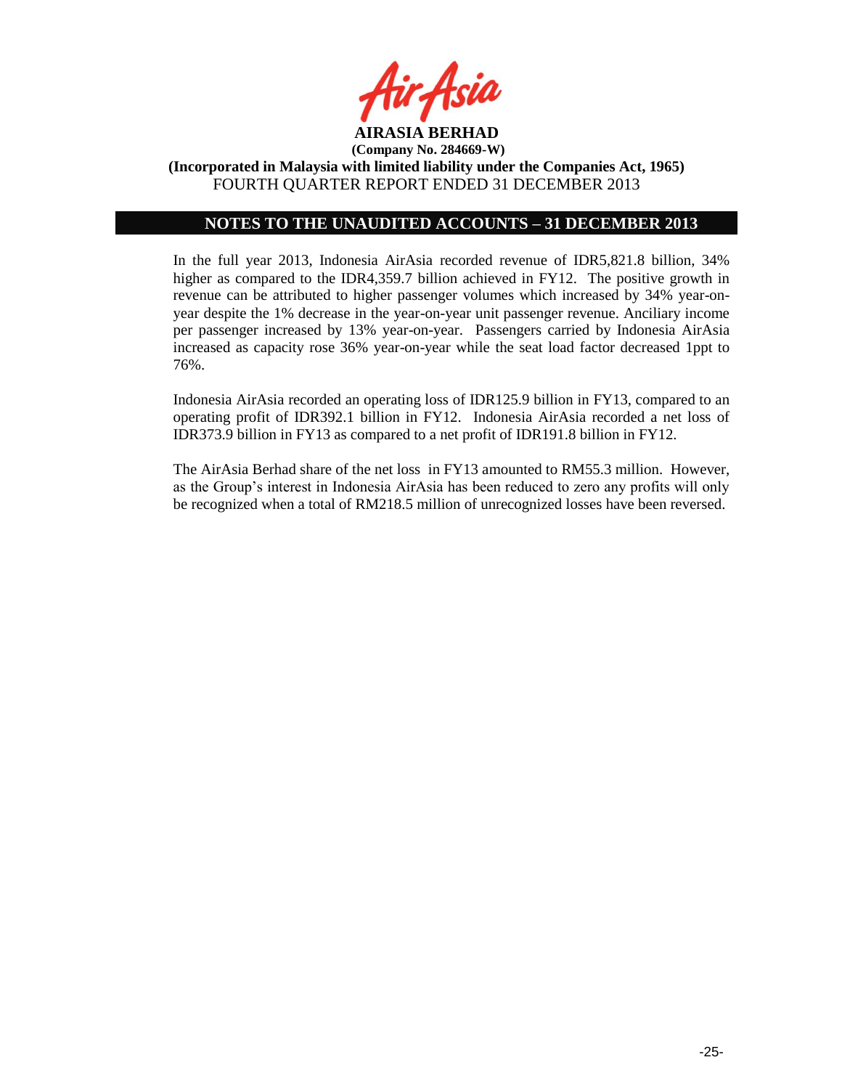

# **NOTES TO THE UNAUDITED ACCOUNTS – 31 DECEMBER 2013**

In the full year 2013, Indonesia AirAsia recorded revenue of IDR5,821.8 billion, 34% higher as compared to the IDR4,359.7 billion achieved in FY12. The positive growth in revenue can be attributed to higher passenger volumes which increased by 34% year-onyear despite the 1% decrease in the year-on-year unit passenger revenue. Anciliary income per passenger increased by 13% year-on-year. Passengers carried by Indonesia AirAsia increased as capacity rose 36% year-on-year while the seat load factor decreased 1ppt to 76%.

Indonesia AirAsia recorded an operating loss of IDR125.9 billion in FY13, compared to an operating profit of IDR392.1 billion in FY12. Indonesia AirAsia recorded a net loss of IDR373.9 billion in FY13 as compared to a net profit of IDR191.8 billion in FY12.

The AirAsia Berhad share of the net loss in FY13 amounted to RM55.3 million. However, as the Group's interest in Indonesia AirAsia has been reduced to zero any profits will only be recognized when a total of RM218.5 million of unrecognized losses have been reversed.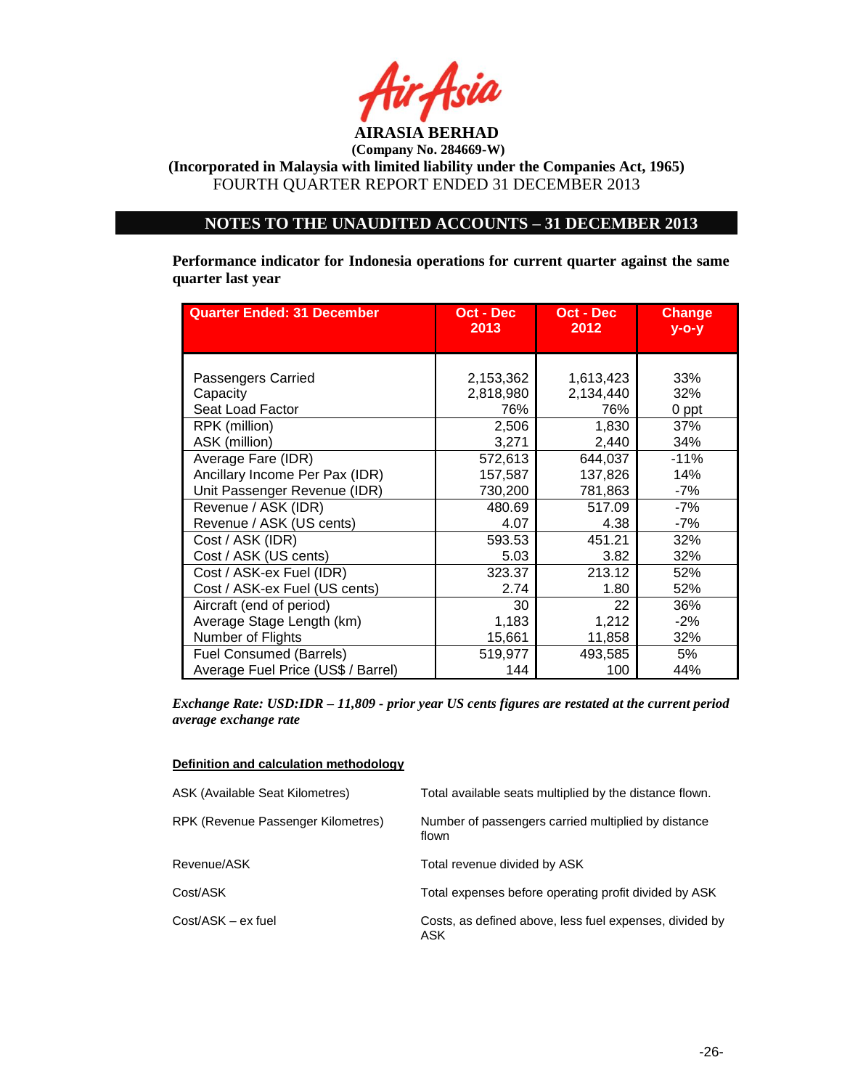

# **NOTES TO THE UNAUDITED ACCOUNTS – 31 DECEMBER 2013**

**Performance indicator for Indonesia operations for current quarter against the same quarter last year**

| <b>Quarter Ended: 31 December</b>                                                     | Oct - Dec            | Oct - Dec                | <b>Change</b>     |
|---------------------------------------------------------------------------------------|----------------------|--------------------------|-------------------|
|                                                                                       | 2013                 | 2012                     | $V - O - V$       |
| Passengers Carried                                                                    | 2,153,362            | 1,613,423                | 33%               |
| Capacity                                                                              | 2,818,980            | 2,134,440                | 32%               |
| Seat Load Factor                                                                      | 76%                  | 76%                      | 0 ppt             |
| RPK (million)                                                                         | 2,506                | 1,830                    | 37%               |
| ASK (million)                                                                         | 3,271                | 2,440                    | 34%               |
| Average Fare (IDR)                                                                    | 572,613              | 644,037                  | $-11%$            |
| Ancillary Income Per Pax (IDR)                                                        | 157,587              | 137,826                  | 14%               |
| Unit Passenger Revenue (IDR)                                                          | 730,200              | 781,863                  | -7%               |
| Revenue / ASK (IDR)                                                                   | 480.69               | 517.09                   | $-7%$             |
| Revenue / ASK (US cents)                                                              | 4.07                 | 4.38                     | $-7%$             |
| Cost / ASK (IDR)<br>Cost / ASK (US cents)                                             | 593.53<br>5.03       | 451.21<br>3.82<br>213.12 | 32%<br>32%        |
| Cost / ASK-ex Fuel (IDR)<br>Cost / ASK-ex Fuel (US cents)<br>Aircraft (end of period) | 323.37<br>2.74<br>30 | 1.80<br>22               | 52%<br>52%<br>36% |
| Average Stage Length (km)                                                             | 1,183                | 1,212                    | $-2%$             |
| Number of Flights                                                                     | 15,661               | 11,858                   | 32%               |
| <b>Fuel Consumed (Barrels)</b>                                                        | 519,977              | 493,585                  | 5%                |
| Average Fuel Price (US\$ / Barrel)                                                    | 144                  | 100                      | 44%               |

*Exchange Rate: USD:IDR – 11,809 - prior year US cents figures are restated at the current period average exchange rate*

## **Definition and calculation methodology**

| ASK (Available Seat Kilometres)    | Total available seats multiplied by the distance flown.        |
|------------------------------------|----------------------------------------------------------------|
| RPK (Revenue Passenger Kilometres) | Number of passengers carried multiplied by distance<br>flown   |
| Revenue/ASK                        | Total revenue divided by ASK                                   |
| Cost/ASK                           | Total expenses before operating profit divided by ASK          |
| Cost/ASK - ex fuel                 | Costs, as defined above, less fuel expenses, divided by<br>ASK |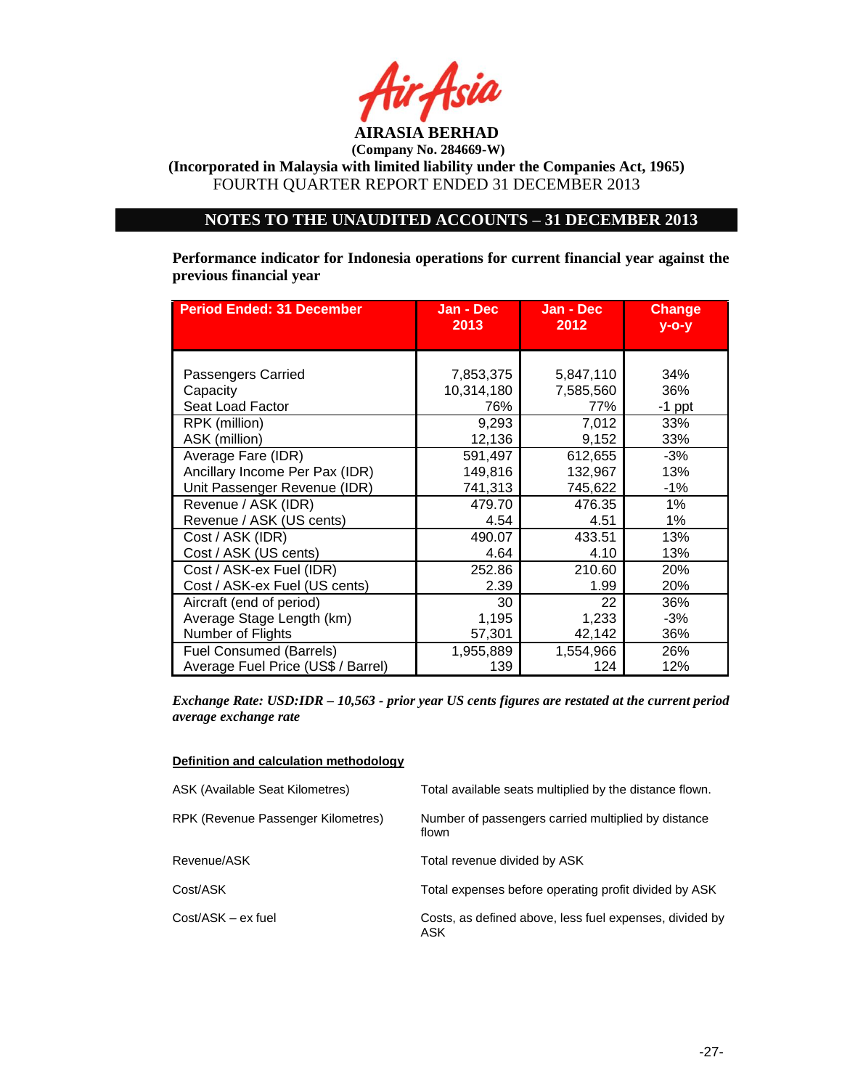

**(Incorporated in Malaysia with limited liability under the Companies Act, 1965)** FOURTH QUARTER REPORT ENDED 31 DECEMBER 2013

# **NOTES TO THE UNAUDITED ACCOUNTS – 31 DECEMBER 2013**

**Performance indicator for Indonesia operations for current financial year against the previous financial year**

| <b>Period Ended: 31 December</b>                               | Jan - Dec<br>2013       | Jan - Dec<br>2012      | <b>Change</b><br>$V - O - V$ |
|----------------------------------------------------------------|-------------------------|------------------------|------------------------------|
| Passengers Carried<br>Capacity                                 | 7,853,375<br>10,314,180 | 5,847,110<br>7,585,560 | 34%<br>36%                   |
| Seat Load Factor                                               | 76%                     | 77%                    | $-1$ ppt                     |
| RPK (million)<br>ASK (million)                                 | 9,293<br>12,136         | 7,012<br>9,152         | 33%<br>33%                   |
| Average Fare (IDR)                                             | 591,497                 | 612,655                | $-3%$                        |
| Ancillary Income Per Pax (IDR)<br>Unit Passenger Revenue (IDR) | 149,816<br>741,313      | 132,967<br>745,622     | 13%<br>$-1%$                 |
| Revenue / ASK (IDR)                                            | 479.70                  | 476.35                 | 1%                           |
| Revenue / ASK (US cents)                                       | 4.54                    | 4.51                   | 1%                           |
| Cost / ASK (IDR)<br>Cost / ASK (US cents)                      | 490.07<br>4.64          | 433.51<br>4.10         | 13%<br>13%                   |
| Cost / ASK-ex Fuel (IDR)                                       | 252.86                  | 210.60                 | 20%                          |
| Cost / ASK-ex Fuel (US cents)                                  | 2.39                    | 1.99                   | 20%                          |
| Aircraft (end of period)                                       | 30                      | 22                     | 36%                          |
| Average Stage Length (km)                                      | 1,195                   | 1,233                  | $-3%$                        |
| Number of Flights                                              | 57,301                  | 42,142                 | 36%                          |
| <b>Fuel Consumed (Barrels)</b>                                 | 1,955,889               | 1,554,966              | 26%                          |
| Average Fuel Price (US\$ / Barrel)                             | 139                     | 124                    | 12%                          |

*Exchange Rate: USD:IDR – 10,563 - prior year US cents figures are restated at the current period average exchange rate*

#### **Definition and calculation methodology**

| <b>ASK (Available Seat Kilometres)</b> | Total available seats multiplied by the distance flown.        |
|----------------------------------------|----------------------------------------------------------------|
| RPK (Revenue Passenger Kilometres)     | Number of passengers carried multiplied by distance<br>flown   |
| Revenue/ASK                            | Total revenue divided by ASK                                   |
| Cost/ASK                               | Total expenses before operating profit divided by ASK          |
| Cost/ASK - ex fuel                     | Costs, as defined above, less fuel expenses, divided by<br>ASK |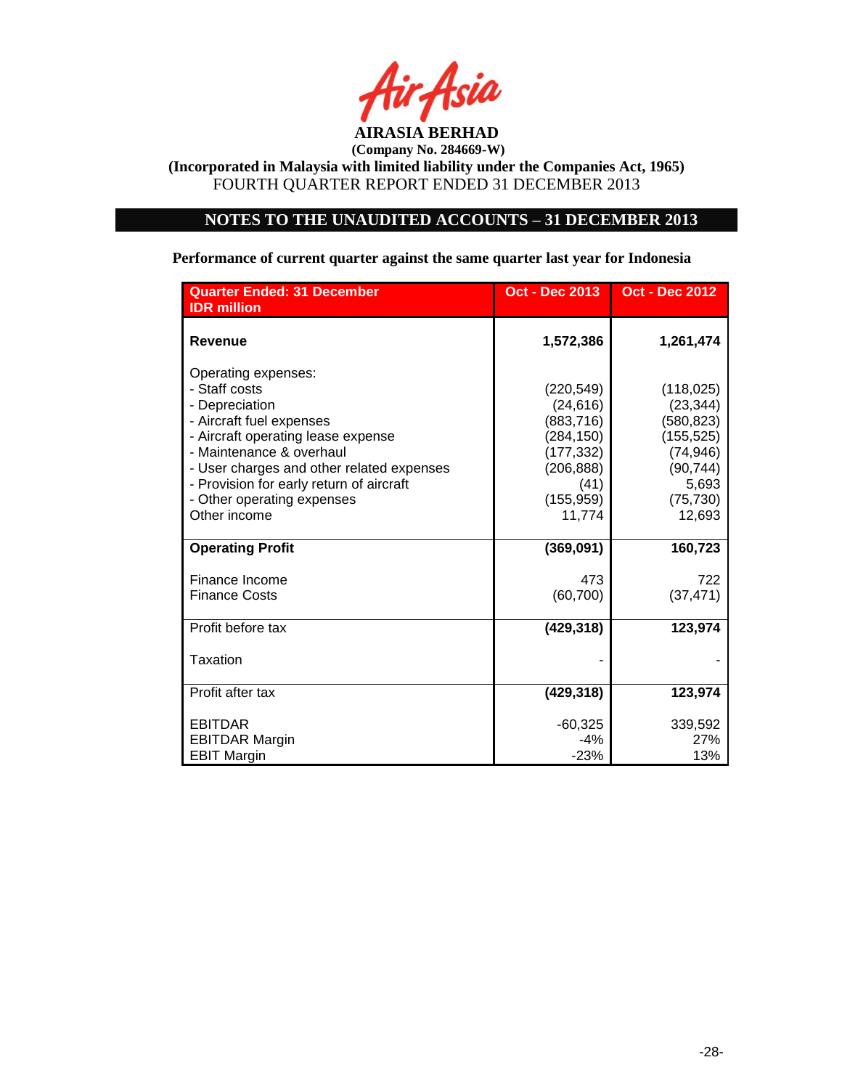

# **NOTES TO THE UNAUDITED ACCOUNTS – 31 DECEMBER 2013**

**Performance of current quarter against the same quarter last year for Indonesia**

| <b>Quarter Ended: 31 December</b><br><b>IDR</b> million                                                                                              | <b>Oct - Dec 2013</b>                                             | <b>Oct - Dec 2012</b>                                            |
|------------------------------------------------------------------------------------------------------------------------------------------------------|-------------------------------------------------------------------|------------------------------------------------------------------|
| <b>Revenue</b>                                                                                                                                       | 1,572,386                                                         | 1,261,474                                                        |
| Operating expenses:<br>- Staff costs<br>- Depreciation<br>- Aircraft fuel expenses<br>- Aircraft operating lease expense<br>- Maintenance & overhaul | (220, 549)<br>(24, 616)<br>(883, 716)<br>(284, 150)<br>(177, 332) | (118, 025)<br>(23, 344)<br>(580, 823)<br>(155, 525)<br>(74, 946) |
| - User charges and other related expenses<br>- Provision for early return of aircraft<br>- Other operating expenses<br>Other income                  | (206, 888)<br>(41)<br>(155, 959)<br>11,774                        | (90, 744)<br>5,693<br>(75, 730)<br>12,693                        |
| <b>Operating Profit</b>                                                                                                                              | (369,091)                                                         | 160,723                                                          |
| Finance Income<br><b>Finance Costs</b>                                                                                                               | 473<br>(60, 700)                                                  | 722<br>(37, 471)                                                 |
| Profit before tax                                                                                                                                    | (429, 318)                                                        | 123,974                                                          |
| Taxation                                                                                                                                             |                                                                   |                                                                  |
| Profit after tax                                                                                                                                     | (429, 318)                                                        | 123,974                                                          |
| <b>EBITDAR</b><br><b>EBITDAR Margin</b><br><b>EBIT Margin</b>                                                                                        | $-60,325$<br>$-4%$<br>$-23%$                                      | 339,592<br>27%<br>13%                                            |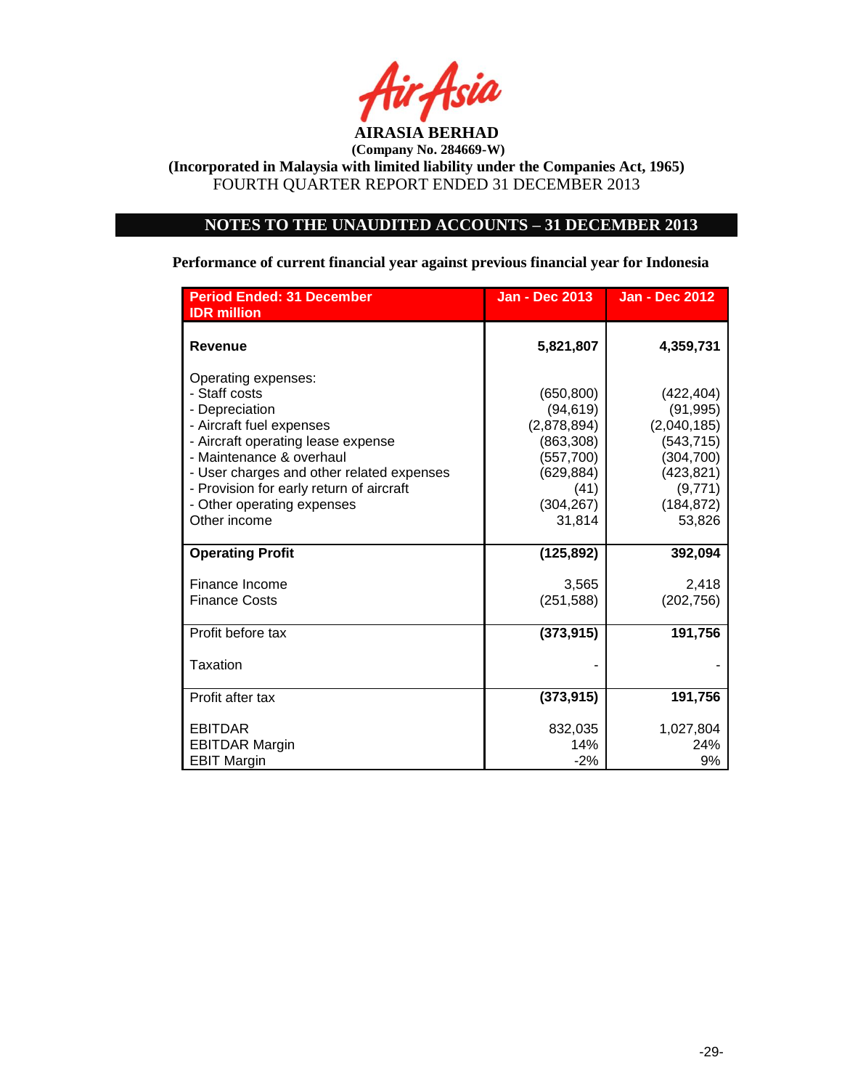

# **NOTES TO THE UNAUDITED ACCOUNTS – 31 DECEMBER 2013**

**Performance of current financial year against previous financial year for Indonesia**

| <b>Period Ended: 31 December</b><br><b>IDR</b> million                                                                                                                                                                                                                                      | <b>Jan - Dec 2013</b>                                                                                           | <b>Jan - Dec 2012</b>                                                                                               |
|---------------------------------------------------------------------------------------------------------------------------------------------------------------------------------------------------------------------------------------------------------------------------------------------|-----------------------------------------------------------------------------------------------------------------|---------------------------------------------------------------------------------------------------------------------|
| <b>Revenue</b>                                                                                                                                                                                                                                                                              | 5,821,807                                                                                                       | 4,359,731                                                                                                           |
| Operating expenses:<br>- Staff costs<br>- Depreciation<br>- Aircraft fuel expenses<br>- Aircraft operating lease expense<br>- Maintenance & overhaul<br>- User charges and other related expenses<br>- Provision for early return of aircraft<br>- Other operating expenses<br>Other income | (650, 800)<br>(94, 619)<br>(2,878,894)<br>(863, 308)<br>(557,700)<br>(629, 884)<br>(41)<br>(304, 267)<br>31,814 | (422, 404)<br>(91, 995)<br>(2,040,185)<br>(543, 715)<br>(304, 700)<br>(423, 821)<br>(9,771)<br>(184, 872)<br>53,826 |
| <b>Operating Profit</b>                                                                                                                                                                                                                                                                     | (125, 892)                                                                                                      | 392,094                                                                                                             |
| Finance Income<br><b>Finance Costs</b>                                                                                                                                                                                                                                                      | 3,565<br>(251, 588)                                                                                             | 2,418<br>(202, 756)                                                                                                 |
| Profit before tax                                                                                                                                                                                                                                                                           | (373, 915)                                                                                                      | 191,756                                                                                                             |
| Taxation                                                                                                                                                                                                                                                                                    |                                                                                                                 |                                                                                                                     |
| Profit after tax                                                                                                                                                                                                                                                                            | (373, 915)                                                                                                      | 191,756                                                                                                             |
| <b>EBITDAR</b><br><b>EBITDAR Margin</b><br><b>EBIT Margin</b>                                                                                                                                                                                                                               | 832,035<br>14%<br>$-2%$                                                                                         | 1,027,804<br>24%<br>9%                                                                                              |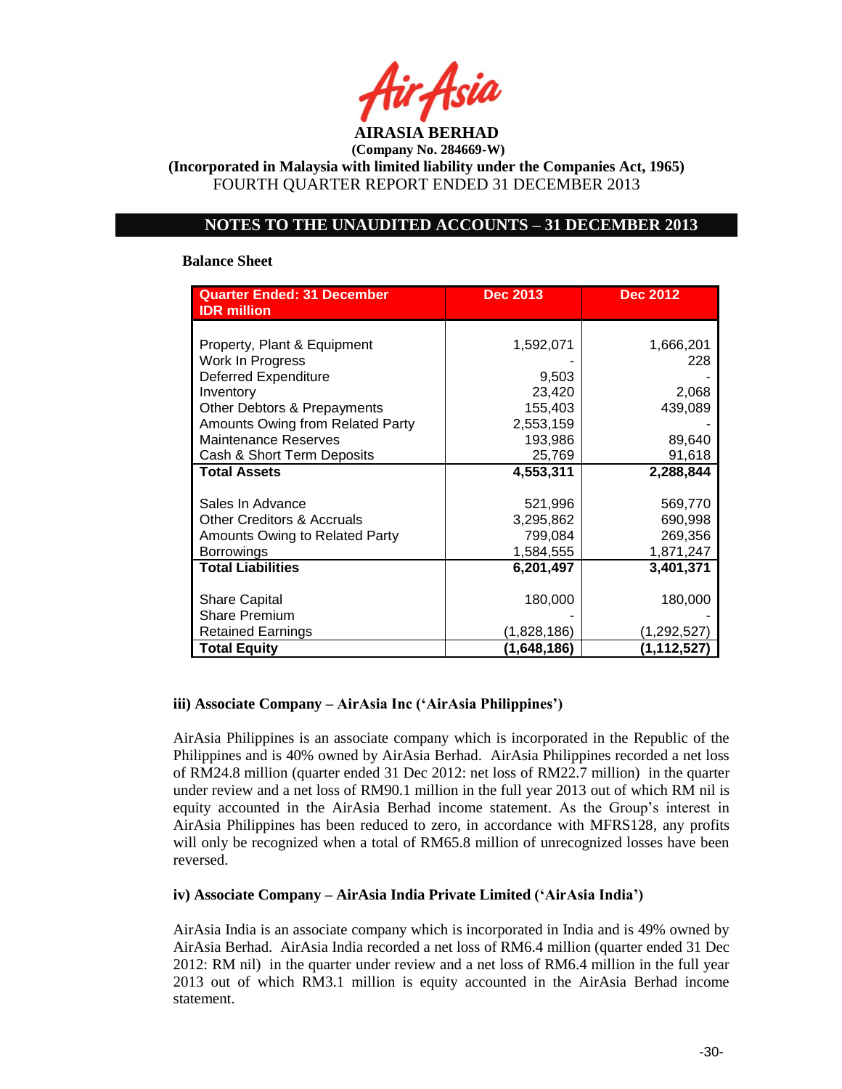

**(Incorporated in Malaysia with limited liability under the Companies Act, 1965)** FOURTH QUARTER REPORT ENDED 31 DECEMBER 2013

# **NOTES TO THE UNAUDITED ACCOUNTS – 31 DECEMBER 2013**

## **Balance Sheet**

| <b>Quarter Ended: 31 December</b><br><b>IDR</b> million | <b>Dec 2013</b> | <b>Dec 2012</b> |
|---------------------------------------------------------|-----------------|-----------------|
|                                                         |                 |                 |
| Property, Plant & Equipment                             | 1,592,071       | 1,666,201       |
| Work In Progress                                        |                 | 228             |
| <b>Deferred Expenditure</b>                             | 9,503           |                 |
| Inventory                                               | 23,420          | 2,068           |
| Other Debtors & Prepayments                             | 155,403         | 439,089         |
| Amounts Owing from Related Party                        | 2,553,159       |                 |
| <b>Maintenance Reserves</b>                             | 193,986         | 89,640          |
| Cash & Short Term Deposits                              | 25,769          | 91,618          |
| <b>Total Assets</b>                                     | 4,553,311       | 2,288,844       |
|                                                         |                 |                 |
| Sales In Advance                                        | 521,996         | 569,770         |
| <b>Other Creditors &amp; Accruals</b>                   | 3,295,862       | 690,998         |
| Amounts Owing to Related Party                          | 799,084         | 269,356         |
| <b>Borrowings</b>                                       | 1,584,555       | 1,871,247       |
| <b>Total Liabilities</b>                                | 6,201,497       | 3,401,371       |
|                                                         |                 |                 |
| <b>Share Capital</b>                                    | 180,000         | 180,000         |
| <b>Share Premium</b>                                    |                 |                 |
| <b>Retained Earnings</b>                                | (1,828,186)     | (1,292,527)     |
| <b>Total Equity</b>                                     | (1,648,186)     | (1,112,527)     |

## **iii) Associate Company – AirAsia Inc ('AirAsia Philippines')**

AirAsia Philippines is an associate company which is incorporated in the Republic of the Philippines and is 40% owned by AirAsia Berhad. AirAsia Philippines recorded a net loss of RM24.8 million (quarter ended 31 Dec 2012: net loss of RM22.7 million) in the quarter under review and a net loss of RM90.1 million in the full year 2013 out of which RM nil is equity accounted in the AirAsia Berhad income statement. As the Group's interest in AirAsia Philippines has been reduced to zero, in accordance with MFRS128, any profits will only be recognized when a total of RM65.8 million of unrecognized losses have been reversed.

## **iv) Associate Company – AirAsia India Private Limited ('AirAsia India')**

AirAsia India is an associate company which is incorporated in India and is 49% owned by AirAsia Berhad. AirAsia India recorded a net loss of RM6.4 million (quarter ended 31 Dec 2012: RM nil) in the quarter under review and a net loss of RM6.4 million in the full year 2013 out of which RM3.1 million is equity accounted in the AirAsia Berhad income statement.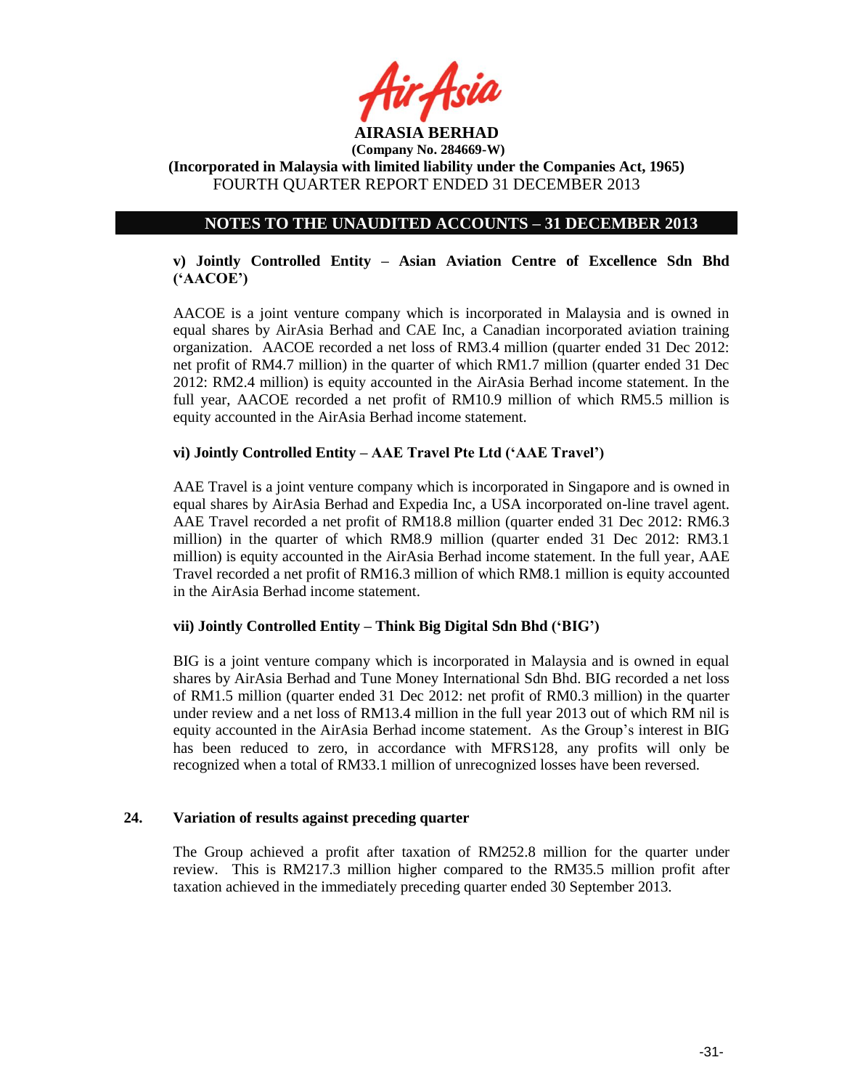

**(Incorporated in Malaysia with limited liability under the Companies Act, 1965)** FOURTH QUARTER REPORT ENDED 31 DECEMBER 2013

# **NOTES TO THE UNAUDITED ACCOUNTS – 31 DECEMBER 2013**

# **v) Jointly Controlled Entity – Asian Aviation Centre of Excellence Sdn Bhd ('AACOE')**

AACOE is a joint venture company which is incorporated in Malaysia and is owned in equal shares by AirAsia Berhad and CAE Inc, a Canadian incorporated aviation training organization. AACOE recorded a net loss of RM3.4 million (quarter ended 31 Dec 2012: net profit of RM4.7 million) in the quarter of which RM1.7 million (quarter ended 31 Dec 2012: RM2.4 million) is equity accounted in the AirAsia Berhad income statement. In the full year, AACOE recorded a net profit of RM10.9 million of which RM5.5 million is equity accounted in the AirAsia Berhad income statement.

# **vi) Jointly Controlled Entity – AAE Travel Pte Ltd ('AAE Travel')**

AAE Travel is a joint venture company which is incorporated in Singapore and is owned in equal shares by AirAsia Berhad and Expedia Inc, a USA incorporated on-line travel agent. AAE Travel recorded a net profit of RM18.8 million (quarter ended 31 Dec 2012: RM6.3 million) in the quarter of which RM8.9 million (quarter ended 31 Dec 2012: RM3.1 million) is equity accounted in the AirAsia Berhad income statement. In the full year, AAE Travel recorded a net profit of RM16.3 million of which RM8.1 million is equity accounted in the AirAsia Berhad income statement.

## **vii) Jointly Controlled Entity – Think Big Digital Sdn Bhd ('BIG')**

BIG is a joint venture company which is incorporated in Malaysia and is owned in equal shares by AirAsia Berhad and Tune Money International Sdn Bhd. BIG recorded a net loss of RM1.5 million (quarter ended 31 Dec 2012: net profit of RM0.3 million) in the quarter under review and a net loss of RM13.4 million in the full year 2013 out of which RM nil is equity accounted in the AirAsia Berhad income statement. As the Group's interest in BIG has been reduced to zero, in accordance with MFRS128, any profits will only be recognized when a total of RM33.1 million of unrecognized losses have been reversed.

## **24. Variation of results against preceding quarter**

The Group achieved a profit after taxation of RM252.8 million for the quarter under review. This is RM217.3 million higher compared to the RM35.5 million profit after taxation achieved in the immediately preceding quarter ended 30 September 2013.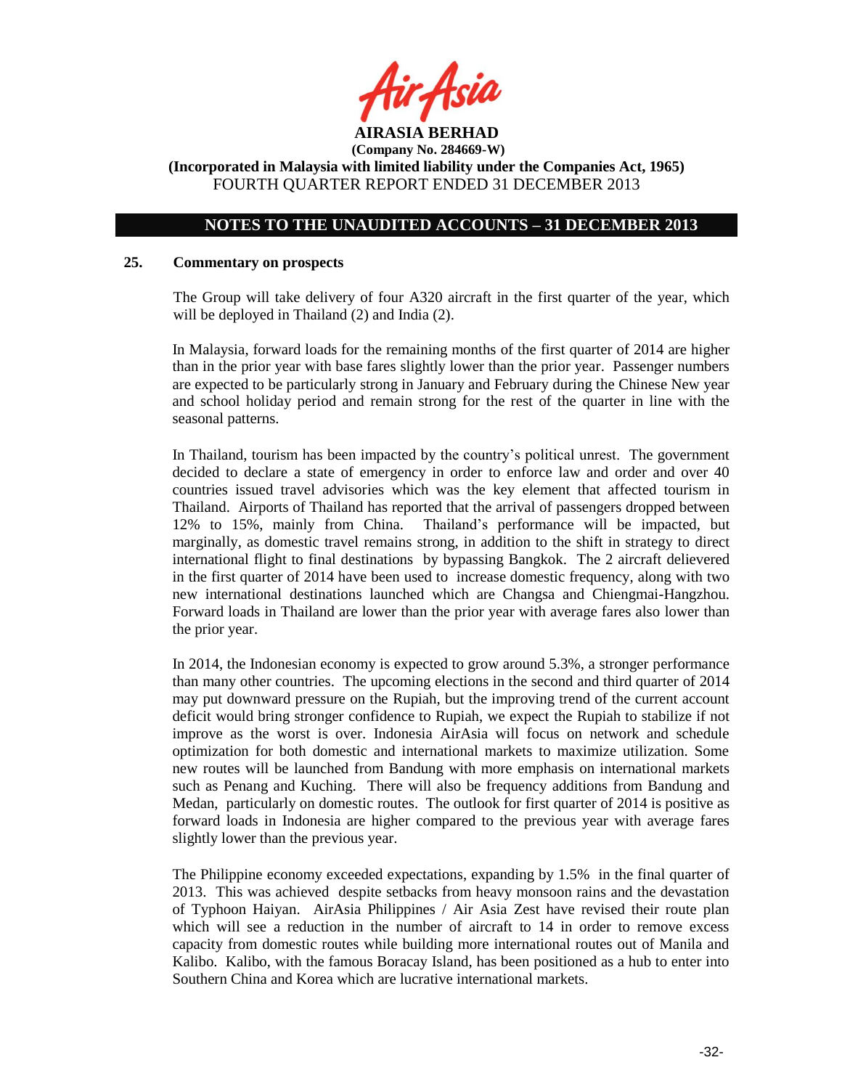

## **NOTES TO THE UNAUDITED ACCOUNTS – 31 DECEMBER 2013**

#### **25. Commentary on prospects**

The Group will take delivery of four A320 aircraft in the first quarter of the year, which will be deployed in Thailand (2) and India (2).

In Malaysia, forward loads for the remaining months of the first quarter of 2014 are higher than in the prior year with base fares slightly lower than the prior year. Passenger numbers are expected to be particularly strong in January and February during the Chinese New year and school holiday period and remain strong for the rest of the quarter in line with the seasonal patterns.

In Thailand, tourism has been impacted by the country's political unrest. The government decided to declare a state of emergency in order to enforce law and order and over 40 countries issued travel advisories which was the key element that affected tourism in Thailand. Airports of Thailand has reported that the arrival of passengers dropped between 12% to 15%, mainly from China. Thailand's performance will be impacted, but marginally, as domestic travel remains strong, in addition to the shift in strategy to direct international flight to final destinations by bypassing Bangkok. The 2 aircraft delievered in the first quarter of 2014 have been used to increase domestic frequency, along with two new international destinations launched which are Changsa and Chiengmai-Hangzhou. Forward loads in Thailand are lower than the prior year with average fares also lower than the prior year.

In 2014, the Indonesian economy is expected to grow around 5.3%, a stronger performance than many other countries. The upcoming elections in the second and third quarter of 2014 may put downward pressure on the Rupiah, but the improving trend of the current account deficit would bring stronger confidence to Rupiah, we expect the Rupiah to stabilize if not improve as the worst is over. Indonesia AirAsia will focus on network and schedule optimization for both domestic and international markets to maximize utilization. Some new routes will be launched from Bandung with more emphasis on international markets such as Penang and Kuching. There will also be frequency additions from Bandung and Medan, particularly on domestic routes. The outlook for first quarter of 2014 is positive as forward loads in Indonesia are higher compared to the previous year with average fares slightly lower than the previous year.

The Philippine economy exceeded expectations, expanding by 1.5% in the final quarter of 2013. This was achieved despite setbacks from heavy monsoon rains and the devastation of Typhoon Haiyan. AirAsia Philippines / Air Asia Zest have revised their route plan which will see a reduction in the number of aircraft to 14 in order to remove excess capacity from domestic routes while building more international routes out of Manila and Kalibo. Kalibo, with the famous Boracay Island, has been positioned as a hub to enter into Southern China and Korea which are lucrative international markets.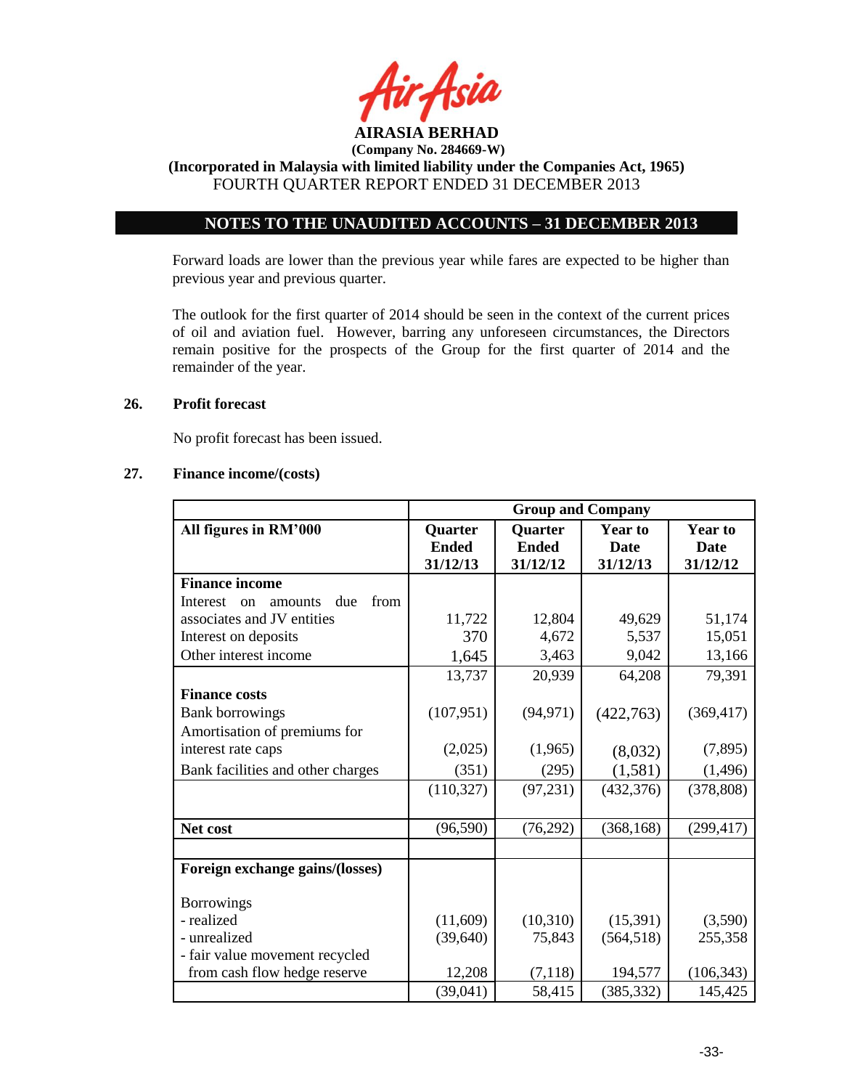

**(Incorporated in Malaysia with limited liability under the Companies Act, 1965)** FOURTH QUARTER REPORT ENDED 31 DECEMBER 2013

# **NOTES TO THE UNAUDITED ACCOUNTS – 31 DECEMBER 2013**

Forward loads are lower than the previous year while fares are expected to be higher than previous year and previous quarter.

The outlook for the first quarter of 2014 should be seen in the context of the current prices of oil and aviation fuel. However, barring any unforeseen circumstances, the Directors remain positive for the prospects of the Group for the first quarter of 2014 and the remainder of the year.

## **26. Profit forecast**

No profit forecast has been issued.

## **27. Finance income/(costs)**

|                                                     | <b>Group and Company</b>            |                                            |                                           |                                           |
|-----------------------------------------------------|-------------------------------------|--------------------------------------------|-------------------------------------------|-------------------------------------------|
| All figures in RM'000                               | Quarter<br><b>Ended</b><br>31/12/13 | <b>Quarter</b><br><b>Ended</b><br>31/12/12 | <b>Year to</b><br><b>Date</b><br>31/12/13 | <b>Year to</b><br><b>Date</b><br>31/12/12 |
| <b>Finance income</b>                               |                                     |                                            |                                           |                                           |
| from<br>due<br>Interest<br>amounts<br><sub>on</sub> |                                     |                                            |                                           |                                           |
| associates and JV entities                          | 11,722                              | 12,804                                     | 49,629                                    | 51,174                                    |
| Interest on deposits                                | 370                                 | 4,672                                      | 5,537                                     | 15,051                                    |
| Other interest income                               | 1,645                               | 3,463                                      | 9,042                                     | 13,166                                    |
|                                                     | 13,737                              | 20,939                                     | 64,208                                    | 79,391                                    |
| <b>Finance costs</b>                                |                                     |                                            |                                           |                                           |
| <b>Bank borrowings</b>                              | (107, 951)                          | (94, 971)                                  | (422,763)                                 | (369, 417)                                |
| Amortisation of premiums for                        |                                     |                                            |                                           |                                           |
| interest rate caps                                  | (2,025)                             | (1,965)                                    | (8,032)                                   | (7,895)                                   |
| Bank facilities and other charges                   | (351)                               | (295)                                      | (1, 581)                                  | (1,496)                                   |
|                                                     | (110, 327)                          | (97, 231)                                  | (432, 376)                                | (378, 808)                                |
|                                                     |                                     |                                            |                                           |                                           |
| Net cost                                            | (96, 590)                           | (76, 292)                                  | (368, 168)                                | (299, 417)                                |
|                                                     |                                     |                                            |                                           |                                           |
| Foreign exchange gains/(losses)                     |                                     |                                            |                                           |                                           |
| <b>Borrowings</b>                                   |                                     |                                            |                                           |                                           |
| - realized                                          | (11,609)                            | (10,310)                                   | (15,391)                                  | (3,590)                                   |
| - unrealized                                        | (39, 640)                           | 75,843                                     | (564, 518)                                | 255,358                                   |
| - fair value movement recycled                      |                                     |                                            |                                           |                                           |
| from cash flow hedge reserve                        | 12,208                              | (7, 118)                                   | 194,577                                   | (106, 343)                                |
|                                                     | (39,041)                            | 58,415                                     | (385, 332)                                | 145,425                                   |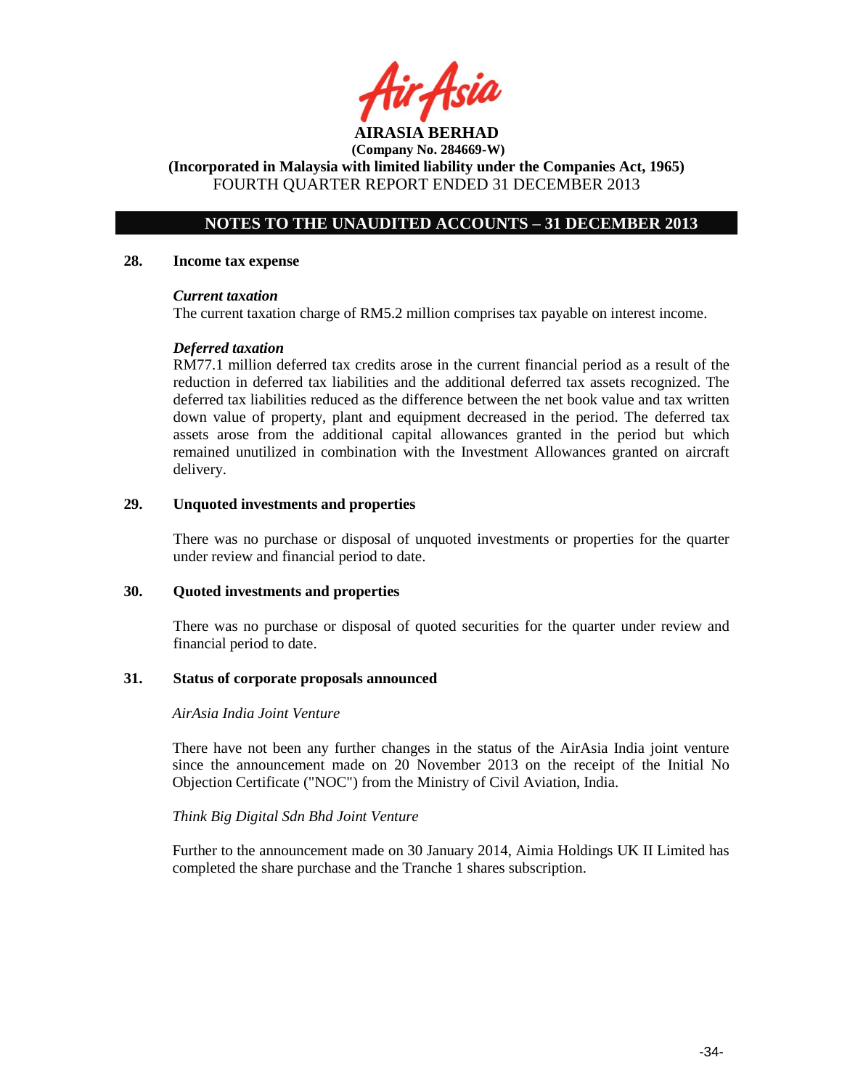**AIRASIA BERHAD** 

**(Incorporated in Malaysia with limited liability under the Companies Act, 1965)** FOURTH QUARTER REPORT ENDED 31 DECEMBER 2013

# **NOTES TO THE UNAUDITED ACCOUNTS – 31 DECEMBER 2013**

#### **28. Income tax expense**

#### *Current taxation*

The current taxation charge of RM5.2 million comprises tax payable on interest income.

## *Deferred taxation*

RM77.1 million deferred tax credits arose in the current financial period as a result of the reduction in deferred tax liabilities and the additional deferred tax assets recognized. The deferred tax liabilities reduced as the difference between the net book value and tax written down value of property, plant and equipment decreased in the period. The deferred tax assets arose from the additional capital allowances granted in the period but which remained unutilized in combination with the Investment Allowances granted on aircraft delivery.

## **29. Unquoted investments and properties**

There was no purchase or disposal of unquoted investments or properties for the quarter under review and financial period to date.

#### **30. Quoted investments and properties**

There was no purchase or disposal of quoted securities for the quarter under review and financial period to date.

#### **31. Status of corporate proposals announced**

## *AirAsia India Joint Venture*

There have not been any further changes in the status of the AirAsia India joint venture since the announcement made on 20 November 2013 on the receipt of the Initial No Objection Certificate ("NOC") from the Ministry of Civil Aviation, India.

#### *Think Big Digital Sdn Bhd Joint Venture*

Further to the announcement made on 30 January 2014, Aimia Holdings UK II Limited has completed the share purchase and the Tranche 1 shares subscription.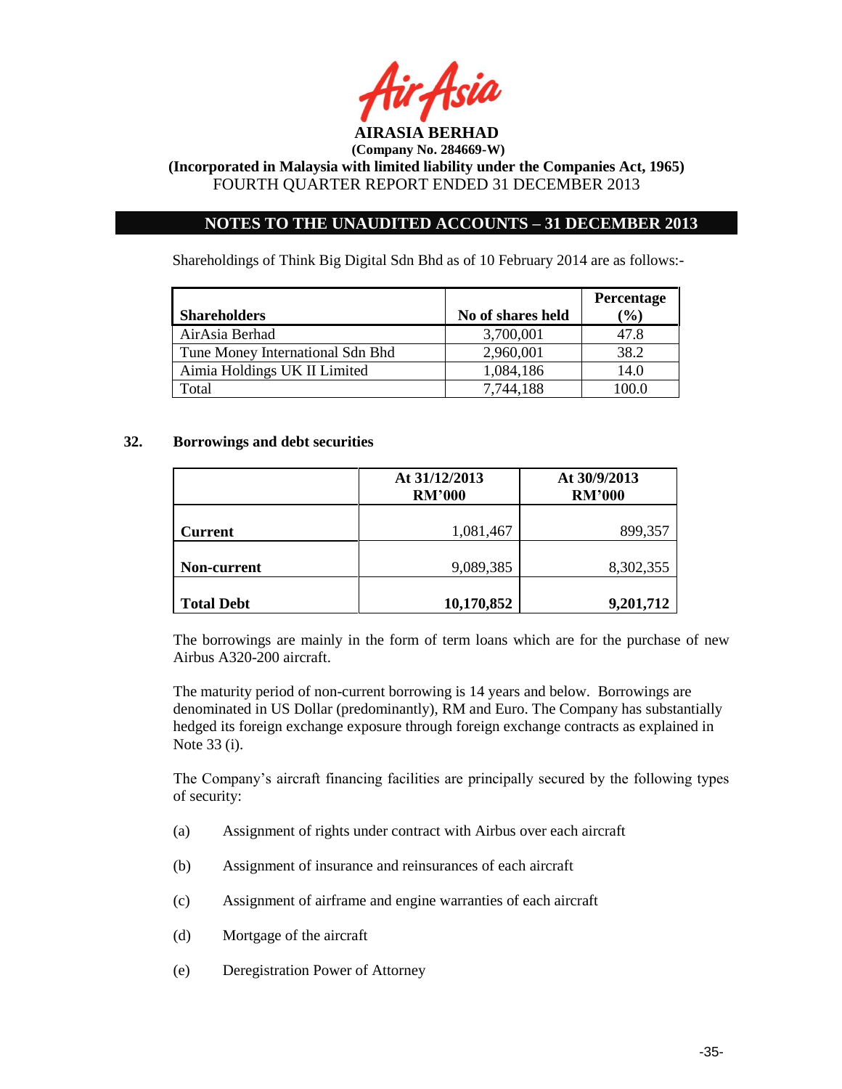

# **NOTES TO THE UNAUDITED ACCOUNTS – 31 DECEMBER 2013**

Shareholdings of Think Big Digital Sdn Bhd as of 10 February 2014 are as follows:-

|                                  |                   | Percentage |
|----------------------------------|-------------------|------------|
| <b>Shareholders</b>              | No of shares held | $(\%)$     |
| AirAsia Berhad                   | 3,700,001         | 47.8       |
| Tune Money International Sdn Bhd | 2,960,001         | 38.2       |
| Aimia Holdings UK II Limited     | 1,084,186         | 14.0       |
| Γotal                            | 7,744,188         | 100.0      |

## **32. Borrowings and debt securities**

|                   | At 31/12/2013<br><b>RM'000</b> | At 30/9/2013<br><b>RM'000</b> |
|-------------------|--------------------------------|-------------------------------|
| <b>Current</b>    | 1,081,467                      | 899,357                       |
| Non-current       | 9,089,385                      | 8,302,355                     |
| <b>Total Debt</b> | 10,170,852                     | 9,201,712                     |

The borrowings are mainly in the form of term loans which are for the purchase of new Airbus A320-200 aircraft.

The maturity period of non-current borrowing is 14 years and below. Borrowings are denominated in US Dollar (predominantly), RM and Euro. The Company has substantially hedged its foreign exchange exposure through foreign exchange contracts as explained in Note 33 (i).

The Company's aircraft financing facilities are principally secured by the following types of security:

- (a) Assignment of rights under contract with Airbus over each aircraft
- (b) Assignment of insurance and reinsurances of each aircraft
- (c) Assignment of airframe and engine warranties of each aircraft
- (d) Mortgage of the aircraft
- (e) Deregistration Power of Attorney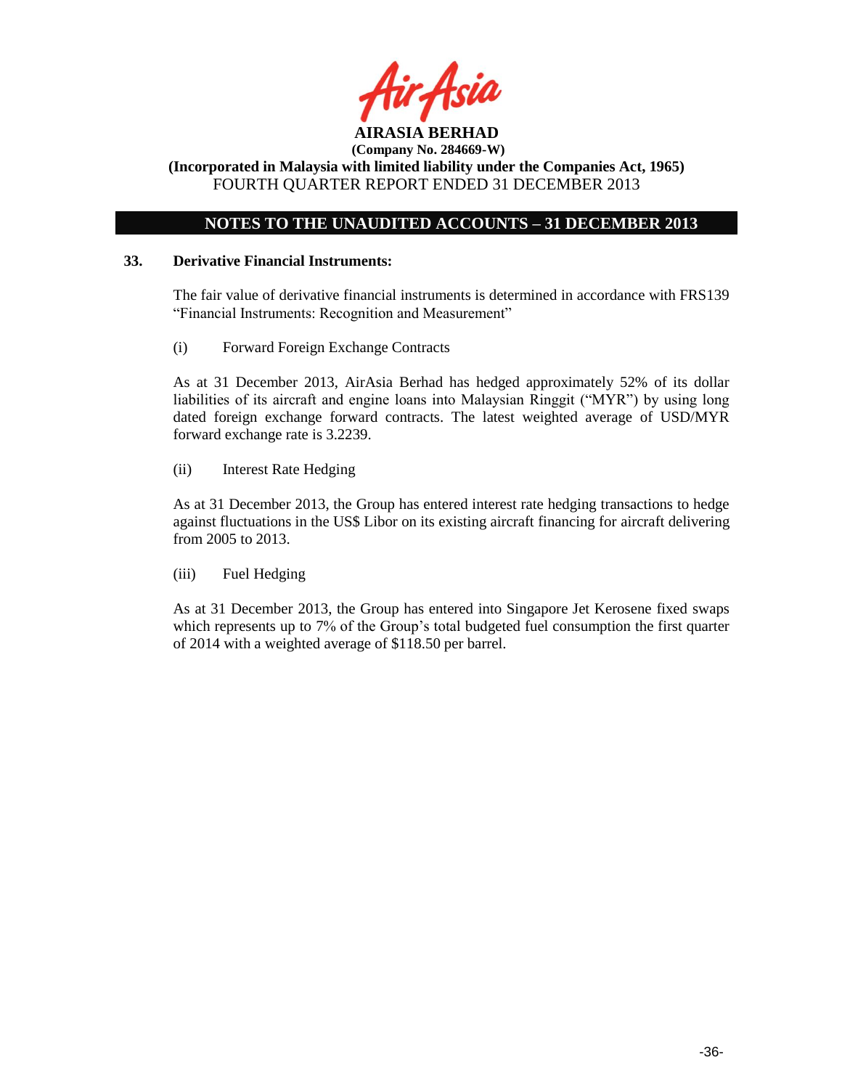

**(Company No. 284669-W) (Incorporated in Malaysia with limited liability under the Companies Act, 1965)**

FOURTH QUARTER REPORT ENDED 31 DECEMBER 2013

# **NOTES TO THE UNAUDITED ACCOUNTS – 31 DECEMBER 2013**

## **33. Derivative Financial Instruments:**

The fair value of derivative financial instruments is determined in accordance with FRS139 "Financial Instruments: Recognition and Measurement"

(i) Forward Foreign Exchange Contracts

As at 31 December 2013, AirAsia Berhad has hedged approximately 52% of its dollar liabilities of its aircraft and engine loans into Malaysian Ringgit ("MYR") by using long dated foreign exchange forward contracts. The latest weighted average of USD/MYR forward exchange rate is 3.2239.

(ii) Interest Rate Hedging

As at 31 December 2013, the Group has entered interest rate hedging transactions to hedge against fluctuations in the US\$ Libor on its existing aircraft financing for aircraft delivering from 2005 to 2013.

(iii) Fuel Hedging

As at 31 December 2013, the Group has entered into Singapore Jet Kerosene fixed swaps which represents up to 7% of the Group's total budgeted fuel consumption the first quarter of 2014 with a weighted average of \$118.50 per barrel.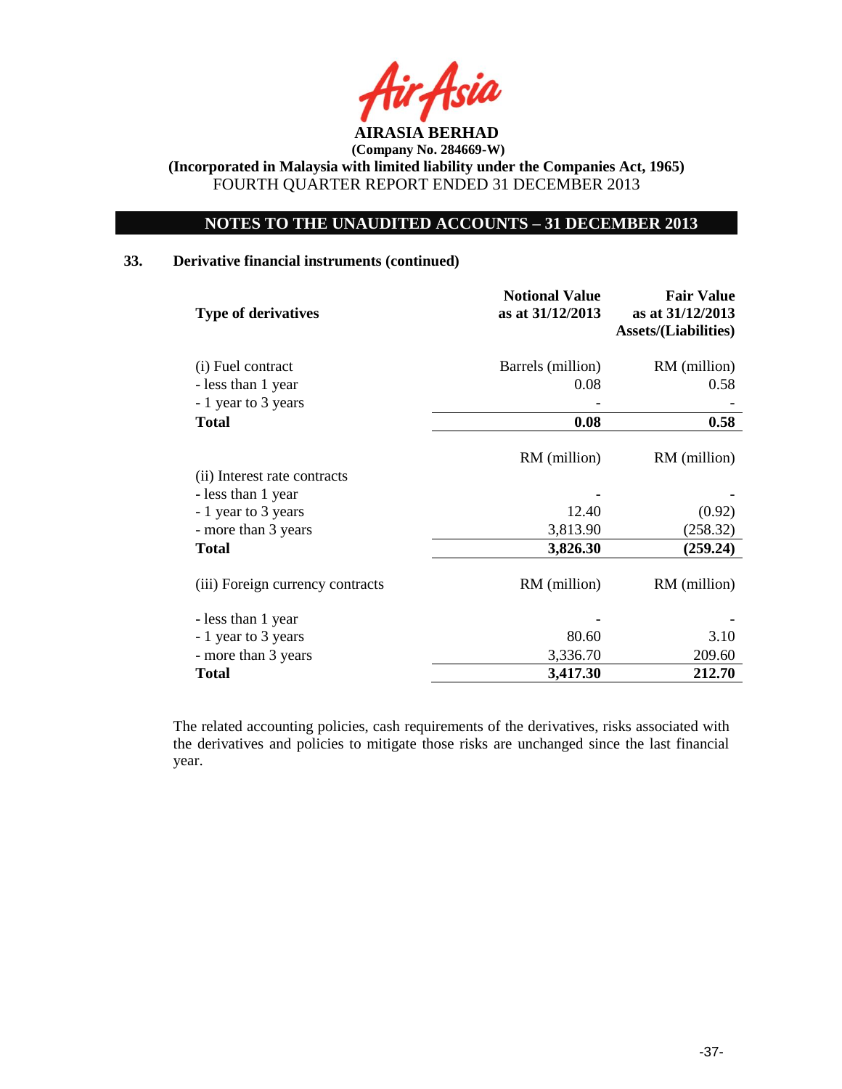

# **NOTES TO THE UNAUDITED ACCOUNTS – 31 DECEMBER 2013**

## **33. Derivative financial instruments (continued)**

| <b>Type of derivatives</b>       | <b>Notional Value</b><br>as at 31/12/2013 | <b>Fair Value</b><br>as at 31/12/2013<br><b>Assets/(Liabilities)</b> |
|----------------------------------|-------------------------------------------|----------------------------------------------------------------------|
| (i) Fuel contract                | Barrels (million)                         | RM (million)                                                         |
| - less than 1 year               | 0.08                                      | 0.58                                                                 |
| - 1 year to 3 years              |                                           |                                                                      |
| <b>Total</b>                     | 0.08                                      | 0.58                                                                 |
|                                  | RM (million)                              | RM (million)                                                         |
| (ii) Interest rate contracts     |                                           |                                                                      |
| - less than 1 year               |                                           |                                                                      |
| - 1 year to 3 years              | 12.40                                     | (0.92)                                                               |
| - more than 3 years              | 3,813.90                                  | (258.32)                                                             |
| <b>Total</b>                     | 3,826.30                                  | (259.24)                                                             |
| (iii) Foreign currency contracts | RM (million)                              | RM (million)                                                         |
| - less than 1 year               |                                           |                                                                      |
| - 1 year to 3 years              | 80.60                                     | 3.10                                                                 |
| - more than 3 years              | 3,336.70                                  | 209.60                                                               |
| <b>Total</b>                     | 3,417.30                                  | 212.70                                                               |

The related accounting policies, cash requirements of the derivatives, risks associated with the derivatives and policies to mitigate those risks are unchanged since the last financial year.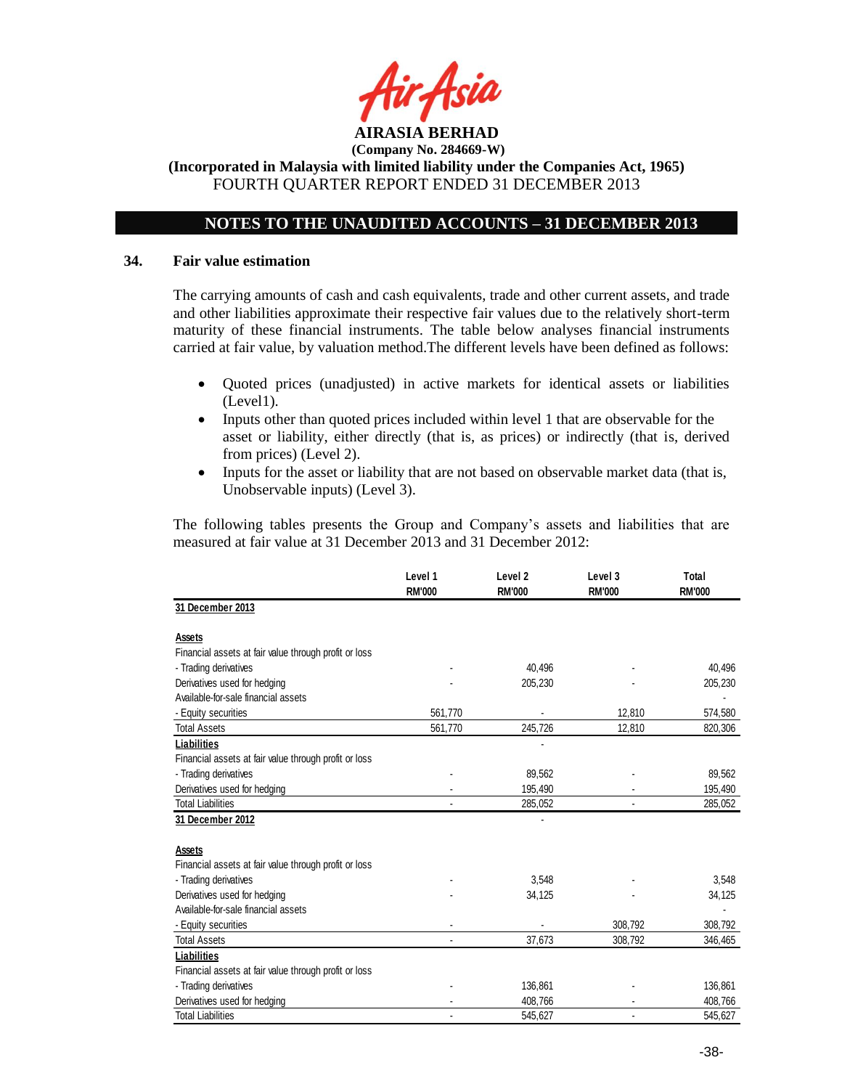

**(Incorporated in Malaysia with limited liability under the Companies Act, 1965)** FOURTH QUARTER REPORT ENDED 31 DECEMBER 2013

# **NOTES TO THE UNAUDITED ACCOUNTS – 31 DECEMBER 2013**

## **34. Fair value estimation**

The carrying amounts of cash and cash equivalents, trade and other current assets, and trade and other liabilities approximate their respective fair values due to the relatively short-term maturity of these financial instruments. The table below analyses financial instruments carried at fair value, by valuation method.The different levels have been defined as follows:

- Quoted prices (unadjusted) in active markets for identical assets or liabilities (Level1).
- Inputs other than quoted prices included within level 1 that are observable for the asset or liability, either directly (that is, as prices) or indirectly (that is, derived from prices) (Level 2).
- Inputs for the asset or liability that are not based on observable market data (that is, Unobservable inputs) (Level 3).

The following tables presents the Group and Company's assets and liabilities that are measured at fair value at 31 December 2013 and 31 December 2012:

|                                                       | Level 1<br><b>RM'000</b> | Level <sub>2</sub><br><b>RM'000</b> | Level 3<br><b>RM'000</b> | Total<br><b>RM'000</b> |
|-------------------------------------------------------|--------------------------|-------------------------------------|--------------------------|------------------------|
| 31 December 2013                                      |                          |                                     |                          |                        |
| Assets                                                |                          |                                     |                          |                        |
| Financial assets at fair value through profit or loss |                          |                                     |                          |                        |
| - Trading derivatives                                 |                          | 40.496                              |                          | 40,496                 |
| Derivatives used for hedging                          |                          | 205,230                             |                          | 205,230                |
| Available-for-sale financial assets                   |                          |                                     |                          |                        |
| - Equity securities                                   | 561,770                  |                                     | 12,810                   | 574,580                |
| <b>Total Assets</b>                                   | 561,770                  | 245,726                             | 12,810                   | 820,306                |
| Liabilities                                           |                          |                                     |                          |                        |
| Financial assets at fair value through profit or loss |                          |                                     |                          |                        |
| - Trading derivatives                                 |                          | 89,562                              |                          | 89,562                 |
| Derivatives used for hedging                          |                          | 195,490                             |                          | 195,490                |
| <b>Total Liabilities</b>                              |                          | 285,052                             |                          | 285,052                |
| 31 December 2012                                      |                          |                                     |                          |                        |
| <b>Assets</b>                                         |                          |                                     |                          |                        |
| Financial assets at fair value through profit or loss |                          |                                     |                          |                        |
| - Trading derivatives                                 |                          | 3,548                               |                          | 3,548                  |
| Derivatives used for hedging                          |                          | 34,125                              |                          | 34,125                 |
| Available-for-sale financial assets                   |                          |                                     |                          |                        |
| - Equity securities                                   |                          |                                     | 308,792                  | 308,792                |
| <b>Total Assets</b>                                   |                          | 37,673                              | 308,792                  | 346,465                |
| Liabilities                                           |                          |                                     |                          |                        |
| Financial assets at fair value through profit or loss |                          |                                     |                          |                        |
| - Trading derivatives                                 |                          | 136,861                             |                          | 136,861                |
| Derivatives used for hedging                          |                          | 408,766                             |                          | 408,766                |
| <b>Total Liabilities</b>                              |                          | 545.627                             |                          | 545,627                |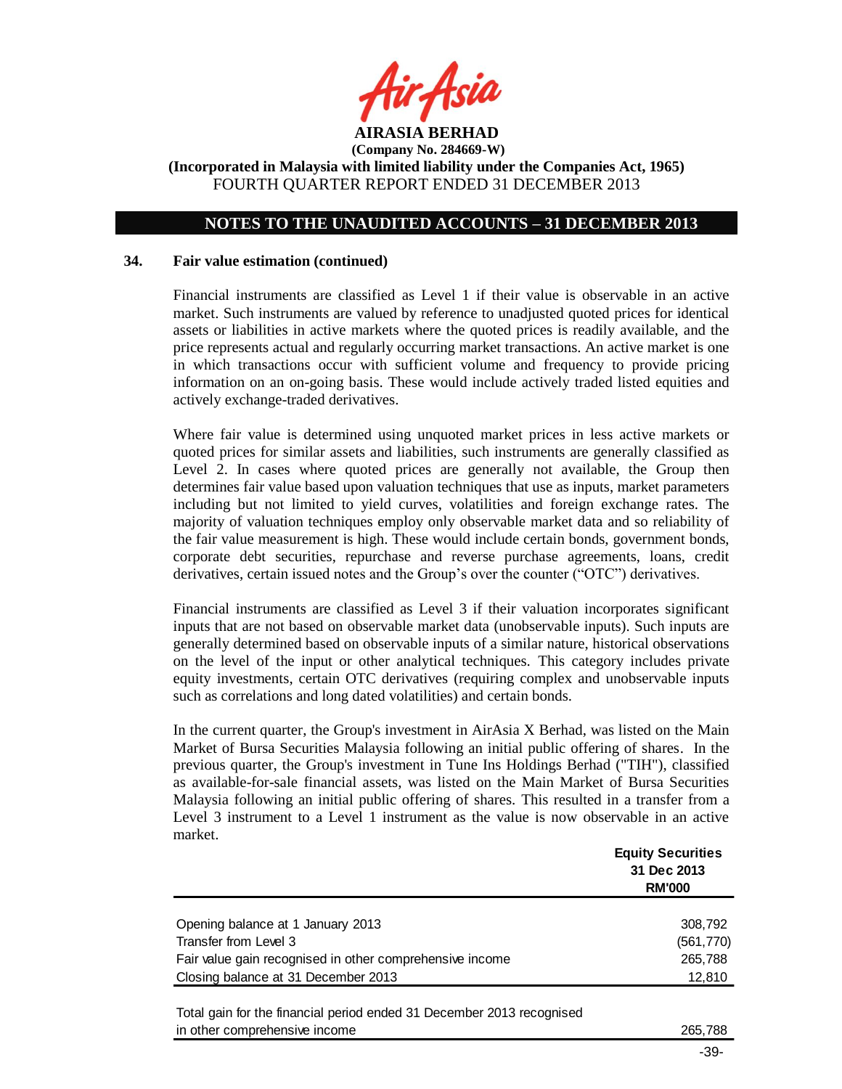

# **NOTES TO THE UNAUDITED ACCOUNTS – 31 DECEMBER 2013**

## **34. Fair value estimation (continued)**

Financial instruments are classified as Level 1 if their value is observable in an active market. Such instruments are valued by reference to unadjusted quoted prices for identical assets or liabilities in active markets where the quoted prices is readily available, and the price represents actual and regularly occurring market transactions. An active market is one in which transactions occur with sufficient volume and frequency to provide pricing information on an on-going basis. These would include actively traded listed equities and actively exchange-traded derivatives.

Where fair value is determined using unquoted market prices in less active markets or quoted prices for similar assets and liabilities, such instruments are generally classified as Level 2. In cases where quoted prices are generally not available, the Group then determines fair value based upon valuation techniques that use as inputs, market parameters including but not limited to yield curves, volatilities and foreign exchange rates. The majority of valuation techniques employ only observable market data and so reliability of the fair value measurement is high. These would include certain bonds, government bonds, corporate debt securities, repurchase and reverse purchase agreements, loans, credit derivatives, certain issued notes and the Group's over the counter ("OTC") derivatives.

Financial instruments are classified as Level 3 if their valuation incorporates significant inputs that are not based on observable market data (unobservable inputs). Such inputs are generally determined based on observable inputs of a similar nature, historical observations on the level of the input or other analytical techniques. This category includes private equity investments, certain OTC derivatives (requiring complex and unobservable inputs such as correlations and long dated volatilities) and certain bonds.

In the current quarter, the Group's investment in AirAsia X Berhad, was listed on the Main Market of Bursa Securities Malaysia following an initial public offering of shares. In the previous quarter, the Group's investment in Tune Ins Holdings Berhad ("TIH"), classified as available-for-sale financial assets, was listed on the Main Market of Bursa Securities Malaysia following an initial public offering of shares. This resulted in a transfer from a Level 3 instrument to a Level 1 instrument as the value is now observable in an active market.

|                                                          | <b>Equity Securities</b><br>31 Dec 2013<br><b>RM'000</b> |
|----------------------------------------------------------|----------------------------------------------------------|
|                                                          |                                                          |
| Opening balance at 1 January 2013                        | 308,792                                                  |
| Transfer from Level 3                                    | (561, 770)                                               |
| Fair value gain recognised in other comprehensive income | 265,788                                                  |
| Closing balance at 31 December 2013                      | 12,810                                                   |
|                                                          |                                                          |

Total gain for the financial period ended 31 December 2013 recognised in other comprehensive income 265,788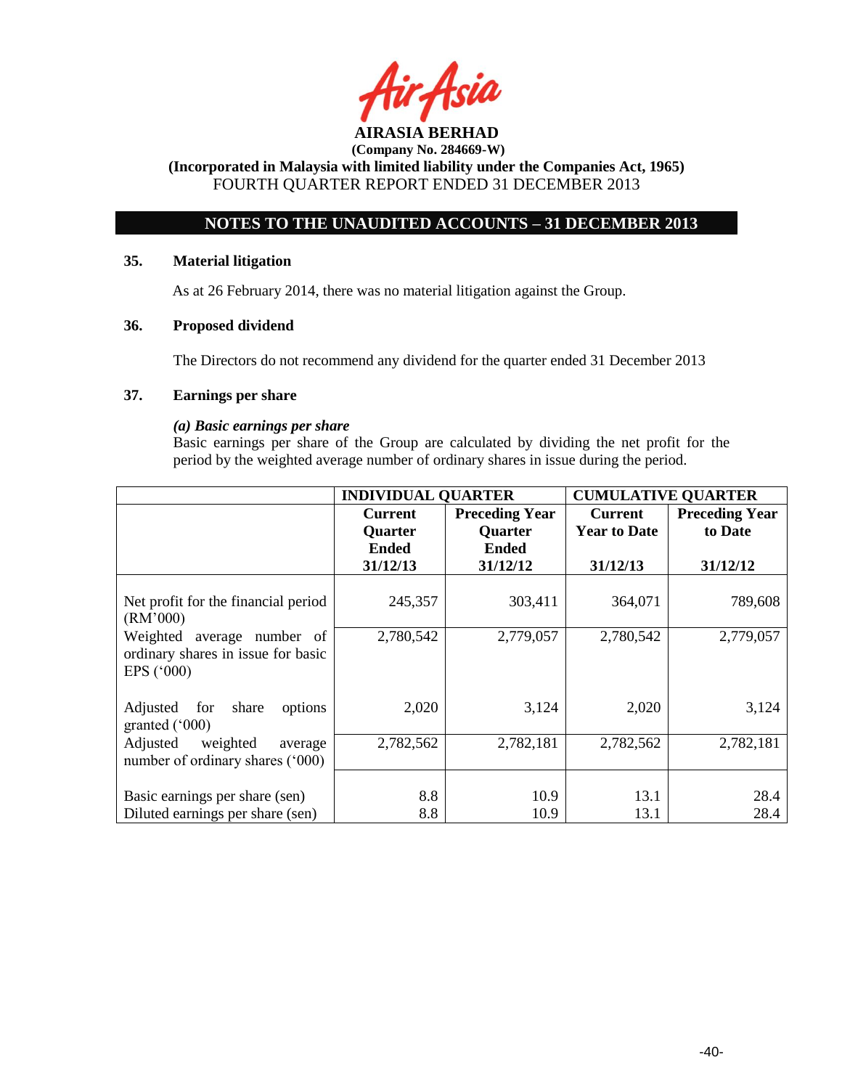

**(Incorporated in Malaysia with limited liability under the Companies Act, 1965)** FOURTH QUARTER REPORT ENDED 31 DECEMBER 2013

# **NOTES TO THE UNAUDITED ACCOUNTS – 31 DECEMBER 2013**

## **35. Material litigation**

As at 26 February 2014, there was no material litigation against the Group.

# **36. Proposed dividend**

The Directors do not recommend any dividend for the quarter ended 31 December 2013

# **37. Earnings per share**

## *(a) Basic earnings per share*

Basic earnings per share of the Group are calculated by dividing the net profit for the period by the weighted average number of ordinary shares in issue during the period.

|                                                                                         | <b>INDIVIDUAL QUARTER</b> |                       | <b>CUMULATIVE QUARTER</b> |                       |
|-----------------------------------------------------------------------------------------|---------------------------|-----------------------|---------------------------|-----------------------|
|                                                                                         | <b>Current</b>            | <b>Preceding Year</b> | <b>Current</b>            | <b>Preceding Year</b> |
|                                                                                         | <b>Quarter</b>            | <b>Quarter</b>        | <b>Year to Date</b>       | to Date               |
|                                                                                         | <b>Ended</b>              | <b>Ended</b>          |                           |                       |
|                                                                                         | 31/12/13                  | 31/12/12              | 31/12/13                  | 31/12/12              |
| Net profit for the financial period<br>(RM'000)                                         | 245,357                   | 303,411               | 364,071                   | 789,608               |
| Weighted average number of<br>ordinary shares in issue for basic<br>EPS $(^{\circ}000)$ | 2,780,542                 | 2,779,057             | 2,780,542                 | 2,779,057             |
| Adjusted for<br>share<br>options<br>granted $(000)$                                     | 2,020                     | 3,124                 | 2,020                     | 3,124                 |
| Adjusted<br>weighted<br>average<br>number of ordinary shares ('000)                     | 2,782,562                 | 2,782,181             | 2,782,562                 | 2,782,181             |
| Basic earnings per share (sen)<br>Diluted earnings per share (sen)                      | 8.8<br>8.8                | 10.9<br>10.9          | 13.1<br>13.1              | 28.4<br>28.4          |